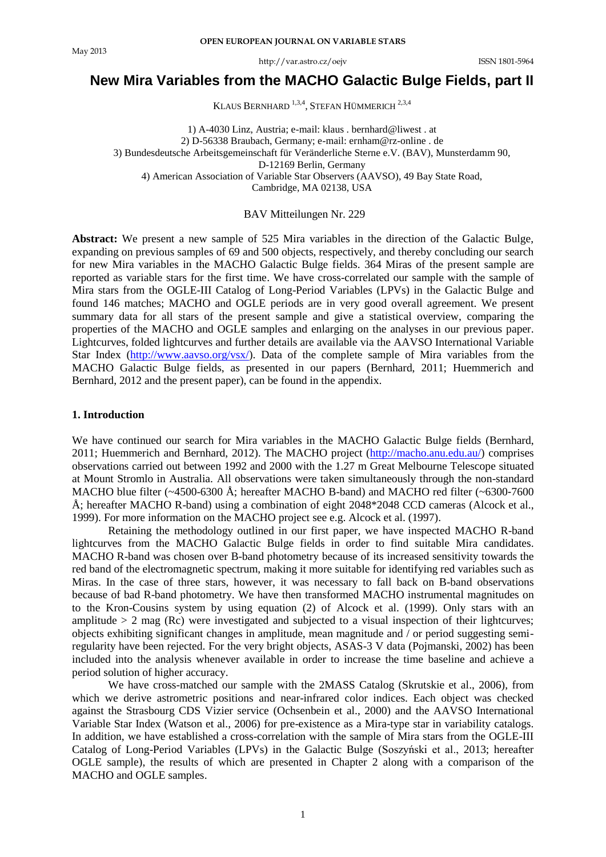http://var.astro.cz/oejv ISSN 1801-5964

# **New Mira Variables from the MACHO Galactic Bulge Fields, part II**

KLAUS BERNHARD<sup>1,3,4</sup>, STEFAN HÜMMERICH<sup>2,3,4</sup>

1) A-4030 Linz, Austria; e-mail: klaus . bernhard@liwest . at 2) D-56338 Braubach, Germany; e-mail: ernham@rz-online . de 3) Bundesdeutsche Arbeitsgemeinschaft für Veränderliche Sterne e.V. (BAV), Munsterdamm 90, D-12169 Berlin, Germany 4) American Association of Variable Star Observers (AAVSO), 49 Bay State Road, Cambridge, MA 02138, USA

### BAV Mitteilungen Nr. 229

**Abstract:** We present a new sample of 525 Mira variables in the direction of the Galactic Bulge, expanding on previous samples of 69 and 500 objects, respectively, and thereby concluding our search for new Mira variables in the MACHO Galactic Bulge fields. 364 Miras of the present sample are reported as variable stars for the first time. We have cross-correlated our sample with the sample of Mira stars from the OGLE-III Catalog of Long-Period Variables (LPVs) in the Galactic Bulge and found 146 matches; MACHO and OGLE periods are in very good overall agreement. We present summary data for all stars of the present sample and give a statistical overview, comparing the properties of the MACHO and OGLE samples and enlarging on the analyses in our previous paper. Lightcurves, folded lightcurves and further details are available via the AAVSO International Variable Star Index [\(http://www.aavso.org/vsx/\)](http://www.aavso.org/vsx/). Data of the complete sample of Mira variables from the MACHO Galactic Bulge fields, as presented in our papers (Bernhard, 2011; Huemmerich and Bernhard, 2012 and the present paper), can be found in the appendix.

### **1. Introduction**

We have continued our search for Mira variables in the MACHO Galactic Bulge fields (Bernhard, 2011; Huemmerich and Bernhard, 2012). The MACHO project [\(http://macho.anu.edu.au/\)](http://macho.anu.edu.au/) comprises observations carried out between 1992 and 2000 with the 1.27 m Great Melbourne Telescope situated at Mount Stromlo in Australia. All observations were taken simultaneously through the non-standard MACHO blue filter (~4500-6300 Å; hereafter MACHO B-band) and MACHO red filter (~6300-7600 Å; hereafter MACHO R-band) using a combination of eight 2048\*2048 CCD cameras (Alcock et al., 1999). For more information on the MACHO project see e.g. Alcock et al. (1997).

Retaining the methodology outlined in our first paper, we have inspected MACHO R-band lightcurves from the MACHO Galactic Bulge fields in order to find suitable Mira candidates. MACHO R-band was chosen over B-band photometry because of its increased sensitivity towards the red band of the electromagnetic spectrum, making it more suitable for identifying red variables such as Miras. In the case of three stars, however, it was necessary to fall back on B-band observations because of bad R-band photometry. We have then transformed MACHO instrumental magnitudes on to the Kron-Cousins system by using equation (2) of Alcock et al. (1999). Only stars with an amplitude  $> 2$  mag (Rc) were investigated and subjected to a visual inspection of their lightcurves; objects exhibiting significant changes in amplitude, mean magnitude and / or period suggesting semiregularity have been rejected. For the very bright objects, ASAS-3 V data (Pojmanski, 2002) has been included into the analysis whenever available in order to increase the time baseline and achieve a period solution of higher accuracy.

We have cross-matched our sample with the 2MASS Catalog (Skrutskie et al., 2006), from which we derive astrometric positions and near-infrared color indices. Each object was checked against the Strasbourg CDS Vizier service (Ochsenbein et al., 2000) and the AAVSO International Variable Star Index (Watson et al., 2006) for pre-existence as a Mira-type star in variability catalogs. In addition, we have established a cross-correlation with the sample of Mira stars from the OGLE-III Catalog of Long-Period Variables (LPVs) in the Galactic Bulge (Soszyński et al., 2013; hereafter OGLE sample), the results of which are presented in Chapter 2 along with a comparison of the MACHO and OGLE samples.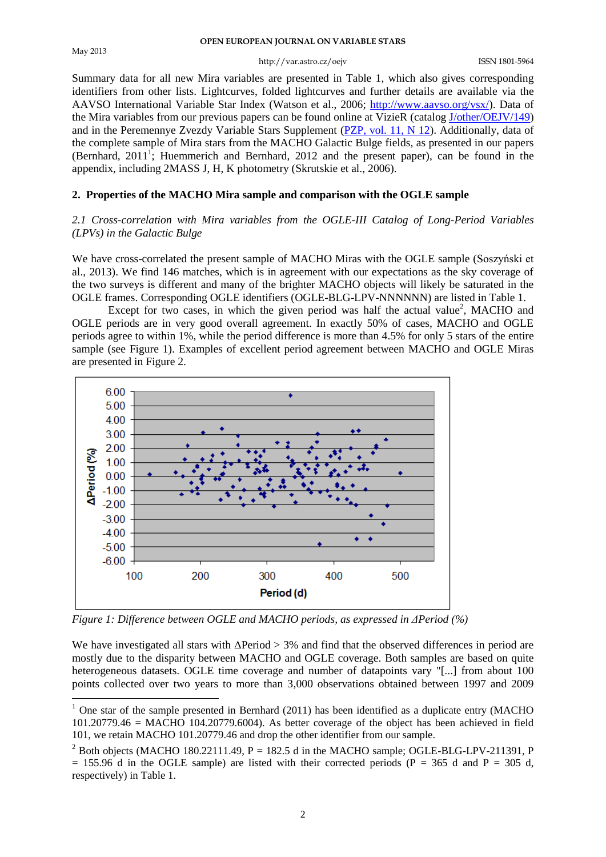#### http://var.astro.cz/oejv ISSN 1801-5964

Summary data for all new Mira variables are presented in Table 1, which also gives corresponding identifiers from other lists. Lightcurves, folded lightcurves and further details are available via the AAVSO International Variable Star Index (Watson et al., 2006; [http://www.aavso.org/vsx/\)](http://www.aavso.org/vsx/). Data of the Mira variables from our previous papers can be found online at VizieR (catalog [J/other/OEJV/149\)](http://vizier.u-strasbg.fr/viz-bin/VizieR?-source=J/other/OEJV/149) and in the Peremennye Zvezdy Variable Stars Supplement [\(PZP, vol. 11, N 12\)](http://www.astronet.ru/db/varstars/msg/1249318). Additionally, data of the complete sample of Mira stars from the MACHO Galactic Bulge fields, as presented in our papers (Bernhard,  $2011^{\frac{1}{1}}$ ; Huemmerich and Bernhard,  $2012$  and the present paper), can be found in the appendix, including 2MASS J, H, K photometry (Skrutskie et al., 2006).

### **2. Properties of the MACHO Mira sample and comparison with the OGLE sample**

### *2.1 Cross-correlation with Mira variables from the OGLE-III Catalog of Long-Period Variables (LPVs) in the Galactic Bulge*

We have cross-correlated the present sample of MACHO Miras with the OGLE sample (Soszyński et al., 2013). We find 146 matches, which is in agreement with our expectations as the sky coverage of the two surveys is different and many of the brighter MACHO objects will likely be saturated in the OGLE frames. Corresponding OGLE identifiers (OGLE-BLG-LPV-NNNNNN) are listed in Table 1.

Except for two cases, in which the given period was half the actual value<sup>2</sup>, MACHO and OGLE periods are in very good overall agreement. In exactly 50% of cases, MACHO and OGLE periods agree to within 1%, while the period difference is more than 4.5% for only 5 stars of the entire sample (see Figure 1). Examples of excellent period agreement between MACHO and OGLE Miras are presented in Figure 2.



*Figure 1: Difference between OGLE and MACHO periods, as expressed in ΔPeriod (%)*

We have investigated all stars with  $\Delta$ Period  $> 3\%$  and find that the observed differences in period are mostly due to the disparity between MACHO and OGLE coverage. Both samples are based on quite heterogeneous datasets. OGLE time coverage and number of datapoints vary "[...] from about 100 points collected over two years to more than 3,000 observations obtained between 1997 and 2009 <u>.</u>

 $<sup>1</sup>$  One star of the sample presented in Bernhard (2011) has been identified as a duplicate entry (MACHO</sup> 101.20779.46 = MACHO 104.20779.6004). As better coverage of the object has been achieved in field 101, we retain MACHO 101.20779.46 and drop the other identifier from our sample.

 $^{2}$  Both objects (MACHO 180.22111.49, P = 182.5 d in the MACHO sample; OGLE-BLG-LPV-211391, P  $= 155.96$  d in the OGLE sample) are listed with their corrected periods (P = 365 d and P = 305 d, respectively) in Table 1.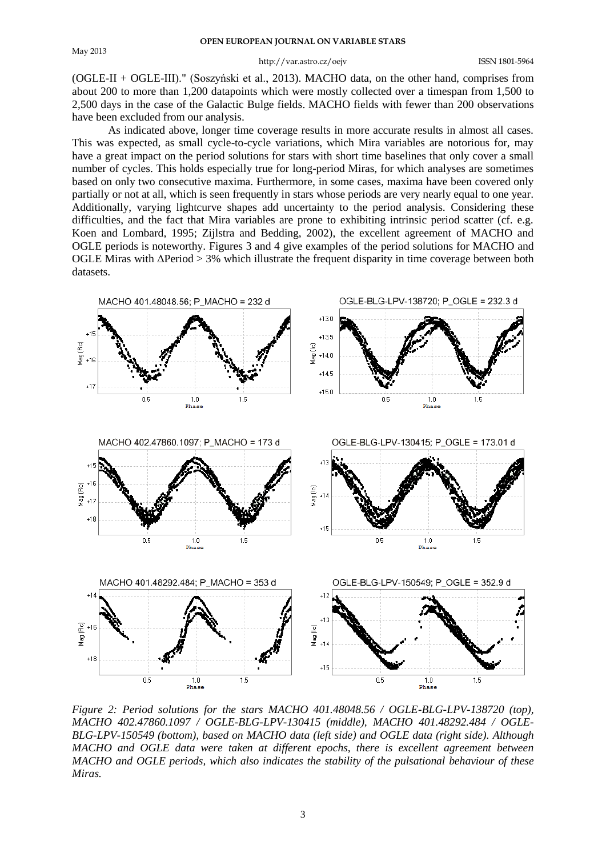#### http://var.astro.cz/oejv ISSN 1801-5964

(OGLE-II + OGLE-III)." (Soszyński et al., 2013). MACHO data, on the other hand, comprises from about 200 to more than 1,200 datapoints which were mostly collected over a timespan from 1,500 to 2,500 days in the case of the Galactic Bulge fields. MACHO fields with fewer than 200 observations have been excluded from our analysis.

As indicated above, longer time coverage results in more accurate results in almost all cases. This was expected, as small cycle-to-cycle variations, which Mira variables are notorious for, may have a great impact on the period solutions for stars with short time baselines that only cover a small number of cycles. This holds especially true for long-period Miras, for which analyses are sometimes based on only two consecutive maxima. Furthermore, in some cases, maxima have been covered only partially or not at all, which is seen frequently in stars whose periods are very nearly equal to one year. Additionally, varying lightcurve shapes add uncertainty to the period analysis. Considering these difficulties, and the fact that Mira variables are prone to exhibiting intrinsic period scatter (cf. e.g. Koen and Lombard, 1995; Zijlstra and Bedding, 2002), the excellent agreement of MACHO and OGLE periods is noteworthy. Figures 3 and 4 give examples of the period solutions for MACHO and OGLE Miras with  $ΔPeriod > 3%$  which illustrate the frequent disparity in time coverage between both datasets.



*Figure 2: Period solutions for the stars MACHO 401.48048.56 / OGLE-BLG-LPV-138720 (top), MACHO 402.47860.1097 / OGLE-BLG-LPV-130415 (middle), MACHO 401.48292.484 / OGLE-BLG-LPV-150549 (bottom), based on MACHO data (left side) and OGLE data (right side). Although MACHO and OGLE data were taken at different epochs, there is excellent agreement between MACHO and OGLE periods, which also indicates the stability of the pulsational behaviour of these Miras.*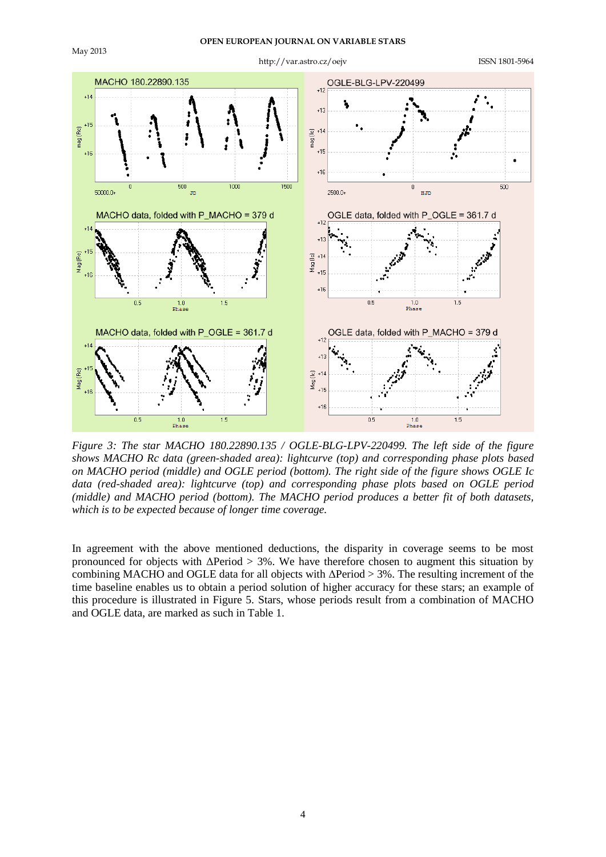

*Figure 3: The star MACHO 180.22890.135 / OGLE-BLG-LPV-220499. The left side of the figure shows MACHO Rc data (green-shaded area): lightcurve (top) and corresponding phase plots based on MACHO period (middle) and OGLE period (bottom). The right side of the figure shows OGLE Ic data (red-shaded area): lightcurve (top) and corresponding phase plots based on OGLE period (middle) and MACHO period (bottom). The MACHO period produces a better fit of both datasets, which is to be expected because of longer time coverage.*

In agreement with the above mentioned deductions, the disparity in coverage seems to be most pronounced for objects with  $ΔPeriod > 3%$ . We have therefore chosen to augment this situation by combining MACHO and OGLE data for all objects with  $\Delta$ Period  $> 3\%$ . The resulting increment of the time baseline enables us to obtain a period solution of higher accuracy for these stars; an example of this procedure is illustrated in Figure 5. Stars, whose periods result from a combination of MACHO and OGLE data, are marked as such in Table 1.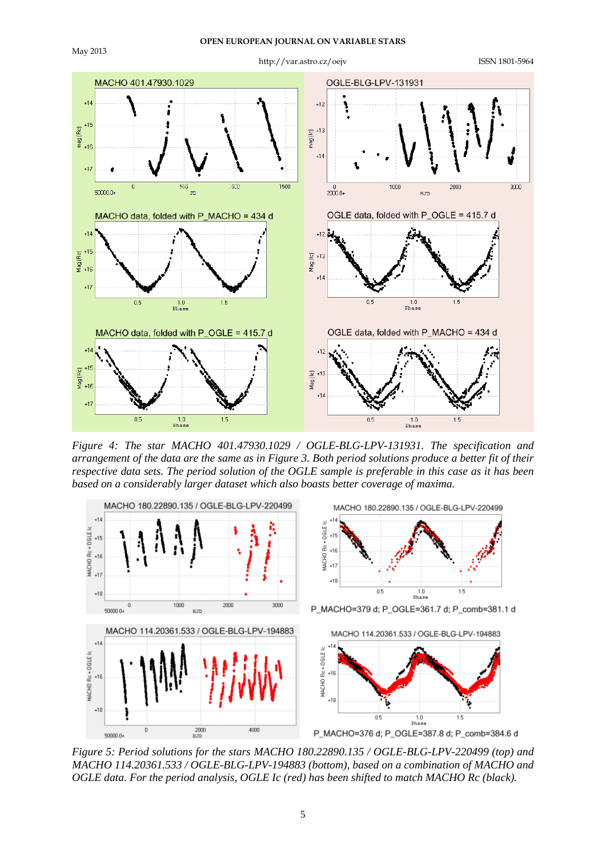

*Figure 4: The star MACHO 401.47930.1029 / OGLE-BLG-LPV-131931. The specification and arrangement of the data are the same as in Figure 3. Both period solutions produce a better fit of their respective data sets. The period solution of the OGLE sample is preferable in this case as it has been based on a considerably larger dataset which also boasts better coverage of maxima.*

 $\overline{0.5}$ 

 $\frac{1.0}{\text{Phase}}$ 

 $\overline{1.5}$ 



*Figure 5: Period solutions for the stars MACHO 180.22890.135 / OGLE-BLG-LPV-220499 (top) and MACHO 114.20361.533 / OGLE-BLG-LPV-194883 (bottom), based on a combination of MACHO and OGLE data. For the period analysis, OGLE Ic (red) has been shifted to match MACHO Rc (black).*

 $\overline{0.5}$ 

 $\frac{1.0}{\text{Phase}}$ 

 $1.5$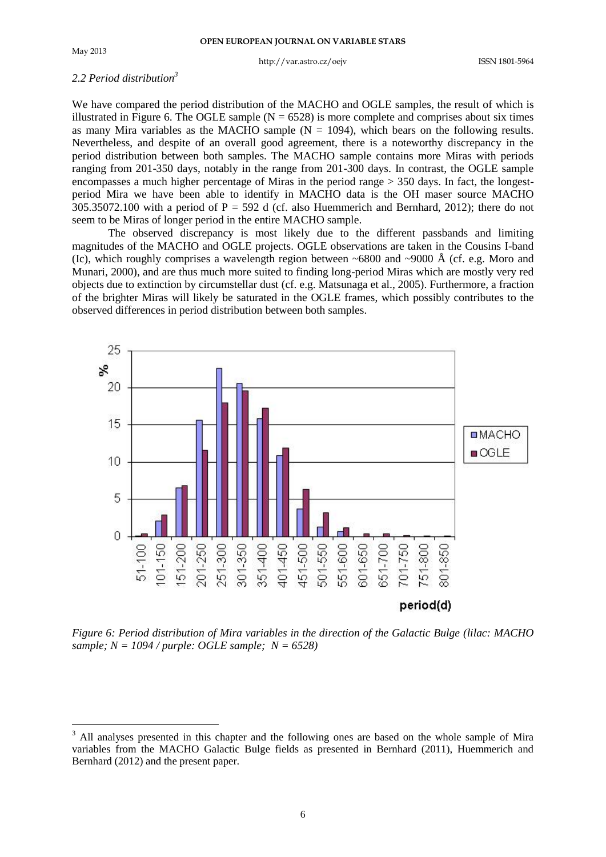1

#### http://var.astro.cz/oejv ISSN 1801-5964

#### *2.2 Period distribution<sup>3</sup>*

We have compared the period distribution of the MACHO and OGLE samples, the result of which is illustrated in Figure 6. The OGLE sample  $(N = 6528)$  is more complete and comprises about six times as many Mira variables as the MACHO sample  $(N = 1094)$ , which bears on the following results. Nevertheless, and despite of an overall good agreement, there is a noteworthy discrepancy in the period distribution between both samples. The MACHO sample contains more Miras with periods ranging from 201-350 days, notably in the range from 201-300 days. In contrast, the OGLE sample encompasses a much higher percentage of Miras in the period range  $> 350$  days. In fact, the longestperiod Mira we have been able to identify in MACHO data is the OH maser source MACHO  $305.35072.100$  with a period of P = 592 d (cf. also Huemmerich and Bernhard, 2012); there do not seem to be Miras of longer period in the entire MACHO sample.

The observed discrepancy is most likely due to the different passbands and limiting magnitudes of the MACHO and OGLE projects. OGLE observations are taken in the Cousins I-band (Ic), which roughly comprises a wavelength region between  $\sim 6800$  and  $\sim 9000$  Å (cf. e.g. Moro and Munari, 2000), and are thus much more suited to finding long-period Miras which are mostly very red objects due to extinction by circumstellar dust (cf. e.g. Matsunaga et al., 2005). Furthermore, a fraction of the brighter Miras will likely be saturated in the OGLE frames, which possibly contributes to the observed differences in period distribution between both samples.



*Figure 6: Period distribution of Mira variables in the direction of the Galactic Bulge (lilac: MACHO sample; N = 1094 / purple: OGLE sample; N = 6528)*

 $3$  All analyses presented in this chapter and the following ones are based on the whole sample of Mira variables from the MACHO Galactic Bulge fields as presented in Bernhard (2011), Huemmerich and Bernhard (2012) and the present paper.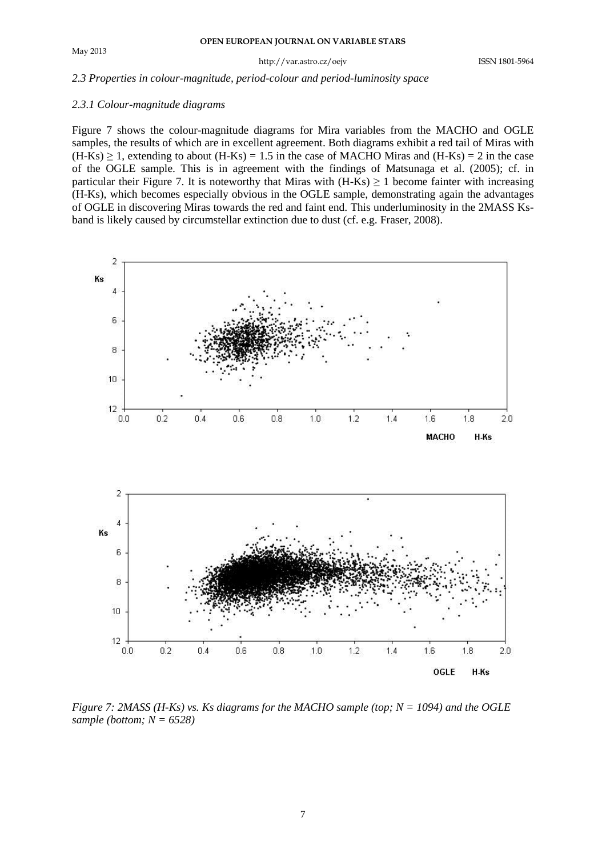#### *2.3 Properties in colour-magnitude, period-colour and period-luminosity space*

#### *2.3.1 Colour-magnitude diagrams*

Figure 7 shows the colour-magnitude diagrams for Mira variables from the MACHO and OGLE samples, the results of which are in excellent agreement. Both diagrams exhibit a red tail of Miras with  $(H-Ks) \ge 1$ , extending to about  $(H-Ks) = 1.5$  in the case of MACHO Miras and  $(H-Ks) = 2$  in the case of the OGLE sample. This is in agreement with the findings of Matsunaga et al. (2005); cf. in particular their Figure 7. It is noteworthy that Miras with  $(H-Ks) \ge 1$  become fainter with increasing (H-Ks), which becomes especially obvious in the OGLE sample, demonstrating again the advantages of OGLE in discovering Miras towards the red and faint end. This underluminosity in the 2MASS Ksband is likely caused by circumstellar extinction due to dust (cf. e.g. Fraser, 2008).



*Figure 7: 2MASS (H-Ks) vs. Ks diagrams for the MACHO sample (top; N = 1094) and the OGLE sample (bottom; N = 6528)*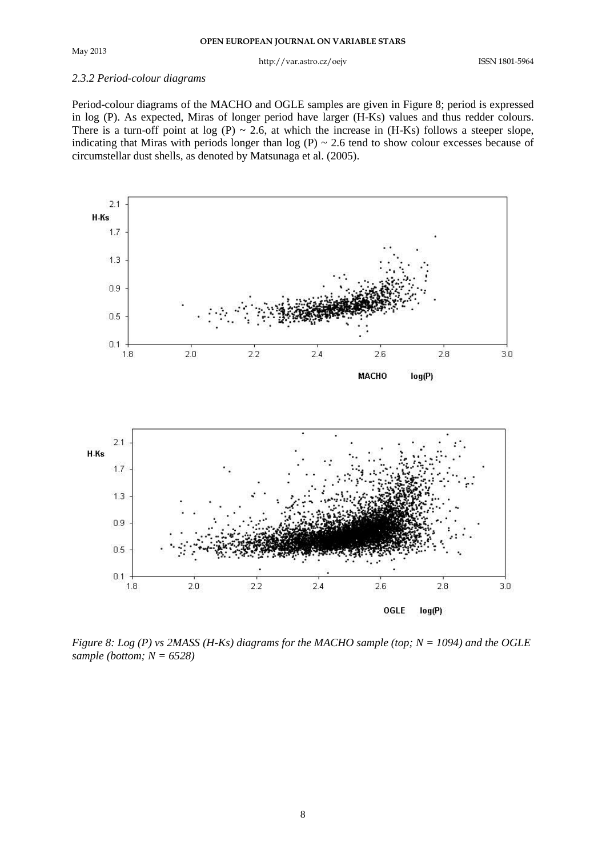#### *2.3.2 Period-colour diagrams*

Period-colour diagrams of the MACHO and OGLE samples are given in Figure 8; period is expressed in log (P). As expected, Miras of longer period have larger (H-Ks) values and thus redder colours. There is a turn-off point at log (P)  $\sim$  2.6, at which the increase in (H-Ks) follows a steeper slope, indicating that Miras with periods longer than  $log(P) \sim 2.6$  tend to show colour excesses because of circumstellar dust shells, as denoted by Matsunaga et al. (2005).



*Figure 8: Log (P) vs 2MASS (H-Ks) diagrams for the MACHO sample (top; N = 1094) and the OGLE sample (bottom; N = 6528)*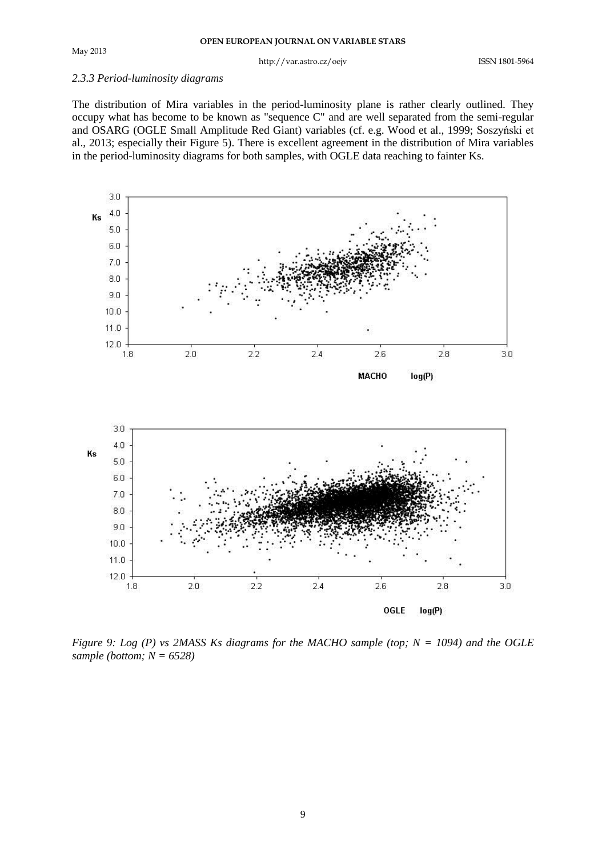#### May 2013

#### http://var.astro.cz/oejv ISSN 1801-5964

#### *2.3.3 Period-luminosity diagrams*

The distribution of Mira variables in the period-luminosity plane is rather clearly outlined. They occupy what has become to be known as "sequence C" and are well separated from the semi-regular and OSARG (OGLE Small Amplitude Red Giant) variables (cf. e.g. Wood et al., 1999; Soszyński et al., 2013; especially their Figure 5). There is excellent agreement in the distribution of Mira variables in the period-luminosity diagrams for both samples, with OGLE data reaching to fainter Ks.



*Figure 9: Log (P) vs 2MASS Ks diagrams for the MACHO sample (top; N = 1094) and the OGLE sample (bottom; N = 6528)*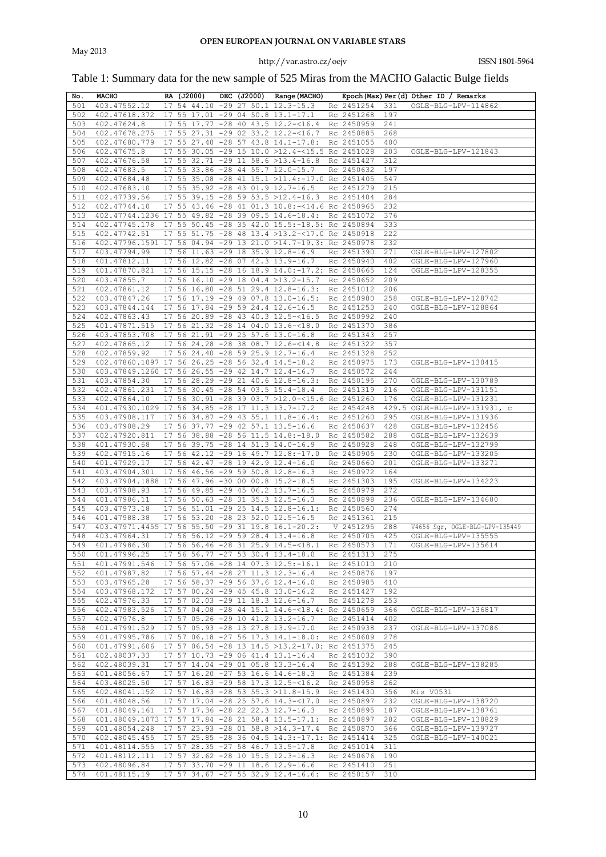## Table 1: Summary data for the new sample of 525 Miras from the MACHO Galactic Bulge fields

| No. | <b>MACHO</b>                                                                | RA (J2000) |  | DEC (J2000) Range (MACHO)                          |                |     | Epoch (Max) Per (d) Other ID / Remarks                                |
|-----|-----------------------------------------------------------------------------|------------|--|----------------------------------------------------|----------------|-----|-----------------------------------------------------------------------|
| 501 | 403.47552.12                                                                |            |  | 17 54 44.10 -29 27 50.1 12.3-15.3                  | Rc 2451254     | 331 | OGLE-BLG-LPV-114862                                                   |
| 502 | 402.47618.372                                                               |            |  | 17 55 17.01 -29 04 50.8 13.1-17.1                  | Rc 2451268     | 197 |                                                                       |
| 503 | 402.47624.8                                                                 |            |  | 17 55 17.77 -28 40 43.5 12.2-<16.4                 | Rc 2450959     | 241 |                                                                       |
| 504 | 402.47678.275                                                               |            |  | 17 55 27.31 -29 02 33.2 12.2-<16.7                 | Rc 2450885     | 268 |                                                                       |
| 505 | 402.47680.779                                                               |            |  | 17 55 27.40 -28 57 43.8 14.1-17.8:                 | Rc 2451055     | 400 |                                                                       |
| 506 | 402.47675.8                                                                 |            |  | 17 55 30.05 -29 15 10.0 >12.4-<15.5 Rc 2451028     |                | 203 | OGLE-BLG-LPV-121843                                                   |
| 507 | 402.47676.58                                                                |            |  | 17 55 32.71 -29 11 58.6 >13.4-16.8 Rc 2451427      |                | 312 |                                                                       |
| 508 | 402.47683.5                                                                 |            |  | 17 55 33.86 -28 44 55.7 12.0-15.7                  | Rc 2450632     | 197 |                                                                       |
| 509 | 402.47684.48                                                                |            |  | 17 55 35.08 -28 41 15.1 >11.4:-17.0 Rc 2451405     |                | 547 |                                                                       |
| 510 | 402.47683.10                                                                |            |  | 17 55 35.92 -28 43 01.9 12.7-16.5                  | Rc 2451279     | 215 |                                                                       |
| 511 | 402.47739.56                                                                |            |  | 17 55 39.15 -28 59 53.5 >12.4-16.3 Rc 2451404      |                | 284 |                                                                       |
| 512 | 402.47744.10                                                                |            |  | 17 55 43.46 -28 41 01.3 10.8:-<14.6 Rc 2450965     |                | 232 |                                                                       |
| 513 | 402.47744.1236 17 55 49.82 -28 39 09.5 14.6-18.4: Rc 2451072                |            |  |                                                    |                | 376 |                                                                       |
| 514 | 402.47745.178                                                               |            |  | 17 55 50.45 -28 35 42.0 15.5:-18.5: Rc 2450894     |                | 333 |                                                                       |
| 515 | 402.47742.51                                                                |            |  | 17 55 51.75 -28 48 13.4 >13.2-<17.0 Rc 2450918     |                | 222 |                                                                       |
| 516 | 402.47796.1591 17 56 04.94 -29 13 21.0 >14.7-19.3: Rc 2450978               |            |  |                                                    |                | 232 |                                                                       |
| 517 |                                                                             |            |  | 17 56 11.63 -29 18 35.9 12.8-16.9                  | Rc 2451390     |     |                                                                       |
|     | 403.47794.99                                                                |            |  |                                                    |                | 271 | OGLE-BLG-LPV-127802                                                   |
| 518 | 401.47812.11                                                                |            |  | 17 56 12.82 -28 07 42.3 13.9-16.7                  | Rc 2450940     | 402 | OGLE-BLG-LPV-127960                                                   |
| 519 | 401.47870.821                                                               |            |  | 17 56 15.15 -28 16 18.9 14.0:-17.2: Rc 2450665     |                | 124 | OGLE-BLG-LPV-128355                                                   |
| 520 | 403.47855.7                                                                 |            |  | 17 56 16.10 -29 18 04.4 >13.2-15.7                 | Rc 2450652     | 209 |                                                                       |
| 521 | 402.47861.12                                                                |            |  | 17 56 16.80 -28 51 29.4 12.8-16.3:                 | Rc 2451012     | 206 |                                                                       |
| 522 | 403.47847.26                                                                |            |  | 17 56 17.19 -29 49 07.8 13.0-16.5:                 | Rc 2450980     | 258 | OGLE-BLG-LPV-128742                                                   |
| 523 | 403.47844.144                                                               |            |  | 17 56 17.84 -29 59 24.4 12.6-16.5                  | Rc 2451253     | 240 | OGLE-BLG-LPV-128864                                                   |
| 524 | 402.47863.43                                                                |            |  | 17 56 20.89 -28 43 40.3 12.5-<16.5                 | Rc 2450992     | 240 |                                                                       |
| 525 | 401.47871.515                                                               |            |  | 17 56 21.32 -28 14 04.0 13.6-<18.0                 | Rc 2451370     | 386 |                                                                       |
| 526 | 403.47853.708                                                               |            |  | 17 56 21.91 -29 25 57.6 13.0-16.8                  | Rc 2451343     | 257 |                                                                       |
| 527 | 402.47865.12                                                                |            |  | 17 56 24.28 -28 38 08.7 12.6-<14.8                 | Rc 2451322     | 357 |                                                                       |
| 528 | 402.47859.92                                                                |            |  | 17 56 24.40 -28 59 25.9 12.7-16.4                  | Rc 2451328     | 252 |                                                                       |
| 529 | 402.47860.1097 17 56 26.25 -28 56 32.4 14.5-18.2                            |            |  |                                                    | Rc 2450975     | 173 | OGLE-BLG-LPV-130415                                                   |
| 530 | 403.47849.1260 17 56 26.55 -29 42 14.7 12.4-16.7                            |            |  |                                                    | Rc 2450572     | 244 |                                                                       |
| 531 | 403.47854.30                                                                |            |  | 17 56 28.29 -29 21 40.6 12.8-16.3:                 | Rc 2450195     | 270 | OGLE-BLG-LPV-130789                                                   |
| 532 | 402.47861.231                                                               |            |  | 17 56 30.45 -28 54 03.5 15.4-18.4                  | Rc 2451319     | 216 | OGLE-BLG-LPV-131151                                                   |
| 533 | 402.47864.10                                                                |            |  | 17 56 30.91 -28 39 03.7 >12.0-<15.6 Rc 2451260     |                | 176 | OGLE-BLG-LPV-131231                                                   |
| 534 | 401.47930.1029 17 56 34.85 -28 17 11.3 13.7-17.2                            |            |  |                                                    | Rc 2454248     |     | 429.5 OGLE-BLG-LPV-131931, c                                          |
| 535 | 403.47908.117                                                               |            |  | 17 56 34.87 -29 43 55.1 11.8-16.4:                 | Rc 2451260     | 295 | OGLE-BLG-LPV-131936                                                   |
| 536 | 403.47908.29                                                                |            |  | 17 56 37.77 -29 42 57.1 13.5-16.6                  | Rc 2450637     | 428 | OGLE-BLG-LPV-132456                                                   |
| 537 | 402.47920.811                                                               |            |  | 17 56 38.88 -28 56 11.5 14.8:-18.0                 | Rc 2450582     | 288 | OGLE-BLG-LPV-132639                                                   |
| 538 | 401.47930.68                                                                |            |  | 17 56 39.75 -28 14 51.3 14.0-16.9                  | Rc 2450928     | 248 | OGLE-BLG-LPV-132799                                                   |
| 539 | 402.47915.16                                                                |            |  | 17 56 42.12 -29 16 49.7 12.8:-17.0                 | Rc 2450905     | 230 | OGLE-BLG-LPV-133205                                                   |
| 540 | 401.47929.17                                                                |            |  | 17 56 42.47 -28 19 42.9 12.4-16.0                  | Rc 2450660     | 201 | OGLE-BLG-LPV-133271                                                   |
| 541 | 403.47904.301                                                               |            |  | 17 56 46.56 -29 59 50.8 12.8-16.3                  | Rc 2450972     | 164 |                                                                       |
| 542 | 403.47904.1888 17 56 47.96 -30 00 00.8 15.2-18.5                            |            |  |                                                    | Rc 2451303     | 195 | OGLE-BLG-LPV-134223                                                   |
| 543 | 403.47908.93                                                                |            |  | 17 56 49.85 -29 45 06.2 13.7-16.5                  | Rc 2450979     | 272 |                                                                       |
| 544 | 401.47986.11                                                                |            |  | 17 56 50.63 -28 31 35.3 12.5-16.3                  | Rc 2450898     | 236 | OGLE-BLG-LPV-134680                                                   |
| 545 | 403.47973.18                                                                |            |  | 17 56 51.01 -29 25 14.5 12.8-16.1:                 | Rc 2450560     | 274 |                                                                       |
| 546 | 401.47988.38                                                                |            |  | 17 56 53.20 -28 23 52.0 12.5-16.5                  | Rc 2451361     | 215 |                                                                       |
| 547 | 403.47971.4455 17 56 55.50 -29 31 19.8 16.1-20.2:                           |            |  |                                                    | V 2451295      | 288 | V4656 Sgr, OGLE-BLG-LPV-135449                                        |
| 548 | 403.47964.31                                                                |            |  | 17 56 56.12 -29 59 28.4 13.4-16.8                  | Rc 2450705     | 425 | OGLE-BLG-LPV-135555                                                   |
| 549 | 401.47986.30                                                                |            |  |                                                    |                |     | 17 56 56.46 -28 31 25.9 14.5-<18.1 Rc 2450573 171 OGLE-BLG-LPV-135614 |
|     | 550 401.47996.25                                                            |            |  | 17 56 56.77 -27 53 30.4 13.4-18.0                  | Rc 2451313 275 |     |                                                                       |
| 551 |                                                                             |            |  |                                                    |                |     |                                                                       |
|     | 401.47991.546  17  56  57.06  - 28  14  07.3  12.5: -16.1  Rc  2451010  210 |            |  |                                                    | Rc 2450876 197 |     |                                                                       |
| 552 | 401.47987.82                                                                |            |  | 17 56 57.44 -28 27 11.3 12.3-16.4                  |                |     |                                                                       |
| 553 | 403.47965.28                                                                |            |  | 17 56 58.37 -29 56 37.6 12.4-16.0 Rc 2450985 410   |                |     |                                                                       |
| 554 | 403.47968.172                                                               |            |  | 17 57 00.24 -29 45 45.8 13.0-16.2                  | Rc 2451427 192 |     |                                                                       |
| 555 | 402.47976.33                                                                |            |  | 17 57 02.03 -29 11 18.3 12.6-16.7                  | Rc 2451278 253 |     |                                                                       |
| 556 | 402.47983.526                                                               |            |  | 17 57 04.08 -28 44 15.1 14.6-<18.4: Rc 2450659 366 |                |     | OGLE-BLG-LPV-136817                                                   |
| 557 | 402.47976.8                                                                 |            |  | 17 57 05.26 -29 10 41.2 13.2-16.7                  | Rc 2451414 402 |     |                                                                       |
| 558 | 401.47991.529                                                               |            |  | 17 57 05.93 -28 13 27.8 13.9-17.0                  | Rc 2450938 237 |     | OGLE-BLG-LPV-137086                                                   |
| 559 | 401.47995.786                                                               |            |  | 17 57 06.18 -27 56 17.3 14.1-18.0:                 | Rc 2450609 278 |     |                                                                       |
| 560 | 401.47991.606                                                               |            |  | 17 57 06.54 -28 13 14.5 >13.2-17.0: Rc 2451375 245 |                |     |                                                                       |
| 561 | 402.48037.33                                                                |            |  | 17 57 10.73 -29 06 41.4 13.1-16.4                  | Rc 2451032 390 |     |                                                                       |
| 562 | 402.48039.31                                                                |            |  | 17 57 14.04 -29 01 05.8 13.3-16.4                  | Rc 2451392 288 |     | OGLE-BLG-LPV-138285                                                   |
| 563 | 401.48056.67                                                                |            |  | 17 57 16.20 -27 53 16.6 14.6-18.3                  | Rc 2451384 239 |     |                                                                       |
| 564 | 403.48025.50                                                                |            |  | 17 57 16.83 -29 58 17.3 12.5-<16.2                 | Rc 2450958     | 262 |                                                                       |
| 565 | $402.48041.152$ 17 57 16.83 -28 53 55.3 >11.8-15.9                          |            |  |                                                    | Rc 2451430 356 |     | Mis V0531                                                             |
| 566 | 401.48048.56                                                                |            |  | 17 57 17.04 -28 25 57.6 14.3-<17.0 Rc 2450897 232  |                |     | OGLE-BLG-LPV-138720                                                   |
| 567 | 401.48049.161 17 57 17.36 -28 22 22.3 12.7-16.3                             |            |  |                                                    | Rc 2450895 187 |     | OGLE-BLG-LPV-138761                                                   |
| 568 | 401.48049.1073 17 57 17.84 -28 21 58.4 13.5-17.1:                           |            |  |                                                    | Rc 2450897 282 |     | OGLE-BLG-LPV-138829                                                   |
| 569 | 401.48054.248                                                               |            |  | 17 57 23.93 -28 01 58.8 >14.3-17.4                 | Rc 2450870 366 |     | OGLE-BLG-LPV-139727                                                   |
| 570 | 402.48045.455 17 57 25.85 -28 36 04.5 14.3:-17.1: Rc 2451414 325            |            |  |                                                    |                |     | OGLE-BLG-LPV-140021                                                   |
| 571 | 401.48114.555 17 57 28.35 -27 58 46.7 13.5-17.8                             |            |  |                                                    | Rc 2451014 311 |     |                                                                       |
| 572 | 401.48112.111 17 57 32.62 -28 10 15.5 12.3-16.3                             |            |  |                                                    | Rc 2450676 190 |     |                                                                       |
| 573 | 402.48096.84                                                                |            |  | 17 57 33.70 -29 11 18.6 12.9-16.6                  | Rc 2451410 251 |     |                                                                       |
| 574 | 401.48115.19                                                                |            |  | 17 57 34.67 -27 55 32.9 12.4-16.6: Rc 2450157 310  |                |     |                                                                       |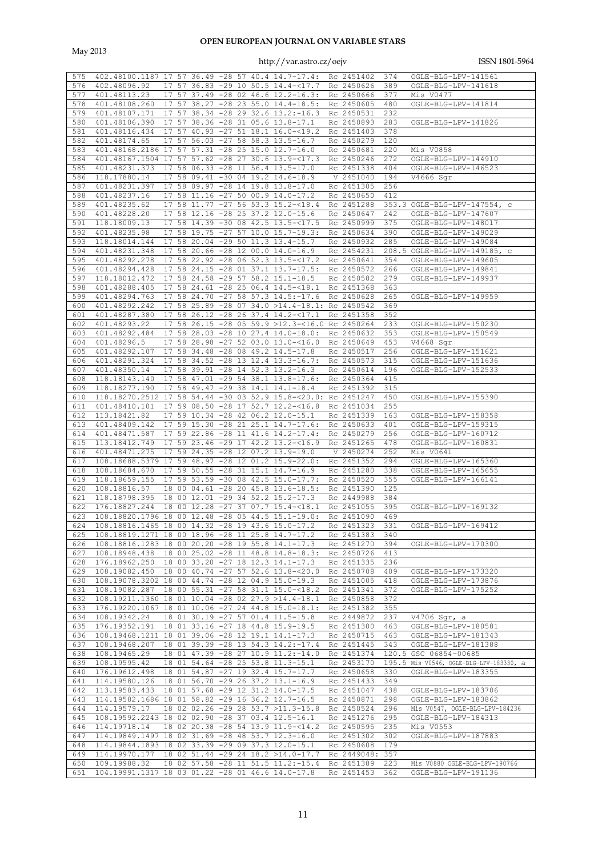May 2013

| 575        | 402.48100.1187 17 57 36.49 -28 57 40.4 14.7-17.4:                |    |       |                 |  |                                       | Rc 2451402               | 374        | OGLE-BLG-LPV-141561                                  |
|------------|------------------------------------------------------------------|----|-------|-----------------|--|---------------------------------------|--------------------------|------------|------------------------------------------------------|
|            |                                                                  |    |       |                 |  |                                       |                          |            |                                                      |
| 576        | 402.48096.92                                                     |    |       |                 |  | 17 57 36.83 -29 10 50.5 14.4-<17.7    | Rc 2450626               | 389        | OGLE-BLG-LPV-141618                                  |
| 577        | 401.48113.23                                                     |    |       |                 |  | 17 57 37.49 -28 02 46.6 12.2-16.3:    | Rc 2450666               | 377        | Mis V0477                                            |
| 578        | 401.48108.260                                                    |    | 17 57 |                 |  | 38.27 -28 23 55.0 14.4-18.5:          | Rc 2450605               | 480        | OGLE-BLG-LPV-141814                                  |
| 579        | 401.48107.171                                                    |    | 17 57 |                 |  | 38.34 -28 29 32.6 13.2:-16.3          | Rc 2450531               | 232        |                                                      |
|            |                                                                  |    |       |                 |  |                                       |                          |            |                                                      |
| 580        | 401.48106.390                                                    | 17 | 57    |                 |  | 38.36 -28 31 05.6 13.8-17.1           | Rc 2450893               | 283        | OGLE-BLG-LPV-141826                                  |
| 581        | 401.48116.434                                                    |    |       |                 |  | 17 57 40.93 -27 51 18.1 16.0-<19.2    | Rc 2451403               | 378        |                                                      |
| 582        | 401.48174.65                                                     |    | 17 57 |                 |  | $56.03 -27 58 58.3 13.5 -16.7$        | Rc 2450279               | 120        |                                                      |
|            |                                                                  |    |       |                 |  |                                       |                          |            |                                                      |
| 583        | 401.48168.2186 17 57                                             |    |       |                 |  | 57.31 -28 25 15.0 12.7-16.0           | Rc 2450681               | 220        | Mis V0858                                            |
| 584        | 401.48167.1504 17 57 57.62 -28 27 30.6 13.9-<17.3                |    |       |                 |  |                                       | Rc 2450246               | 272        | OGLE-BLG-LPV-144910                                  |
| 585        | 401.48231.373                                                    | 17 | 58    |                 |  | $06.33 - 28$ 11 56.4 13.5-17.0        | Rc 2451338               | 404        | OGLE-BLG-LPV-146523                                  |
| 586        | 118.17880.14                                                     |    |       |                 |  | 17 58 09.41 -30 04 19.2 14.6-18.9     | V 2451040                | 194        | $\overline{V}4666$ Sgr                               |
|            | 401.48231.397                                                    |    |       |                 |  |                                       | Rc 2451305               |            |                                                      |
| 587        |                                                                  |    |       |                 |  | 17 58 09.97 -28 14 19.8 13.8-17.0     |                          | 256        |                                                      |
| 588        | 401.48237.16                                                     | 17 | 58    |                 |  | 11.16 -27 50 00.9 14.0-17.2           | Rc 2450650               | 412        |                                                      |
| 589        | 401.48235.62                                                     |    |       |                 |  | 17 58 11.77 -27 56 53.3 15.2-<18.4    | Rc 2451288               |            | 353.3 OGLE-BLG-LPV-147554, c                         |
| 590        | 401.48228.20                                                     |    |       |                 |  | 17 58 12.16 -28 25 37.2 12.0-15.6     | Rc 2450647               | 242        | OGLE-BLG-LPV-147607                                  |
| 591        | 118.18009.13                                                     |    |       |                 |  | 17 58 14.39 -30 08 42.5 13.5-<17.5    | Rc 2450999               | 375        | OGLE-BLG-LPV-148017                                  |
|            |                                                                  |    |       |                 |  |                                       |                          |            |                                                      |
| 592        | 401.48235.98                                                     | 17 |       |                 |  | 58 19.75 -27 57 10.0 15.7-19.3:       | Rc 2450634               | 390        | OGLE-BLG-LPV-149029                                  |
| 593        | 118.18014.144                                                    | 17 |       |                 |  | 58 20.04 -29 50 11.3 13.4-15.7        | Rc 2450932               | 285        | OGLE-BLG-LPV-149084                                  |
| 594        | 401.48231.348                                                    |    |       |                 |  | 17 58 20.66 -28 12 00.0 14.0-16.9     | Rc 2454231               |            | 208.5 OGLE-BLG-LPV-149185, c                         |
| 595        | 401.48292.278                                                    |    |       |                 |  | 17 58 22.92 -28 06 52.3 13.5-<17.2    | Rc 2450641               | 354        | OGLE-BLG-LPV-149605                                  |
|            |                                                                  |    |       |                 |  |                                       |                          |            |                                                      |
| 596        | 401.48294.428                                                    | 17 |       |                 |  | 58 24.15 -28 01 37.1 13.7-17.5:       | Rc 2450572               | 266        | OGLE-BLG-LPV-149841                                  |
| 597        | 118.18012.472                                                    | 17 |       |                 |  | 58 24.58 -29 57 58.2 15.1-18.5        | Rc 2450582               | 279        | OGLE-BLG-LPV-149937                                  |
| 598        | 401.48288.405                                                    | 17 |       |                 |  | 58 24.61 -28 25 06.4 14.5-<18.1       | Rc 2451368               | 363        |                                                      |
|            |                                                                  |    |       |                 |  |                                       |                          |            |                                                      |
| 599        | 401.48294.763                                                    |    |       |                 |  | 17 58 24.70 -27 58 57.3 14.5:-17.6    | Rc 2450628               | 265        | OGLE-BLG-LPV-149959                                  |
| 600        | 401.48292.242                                                    | 17 | 58    |                 |  | 25.89 -28 07 34.0 >14.4-18.1:         | Rc 2450542               | 369        |                                                      |
| 601        | 401.48287.380                                                    |    |       |                 |  | 17 58 26.12 -28 26 37.4 14.2-<17.1    | Rc 2451358               | 352        |                                                      |
| 602        | 401.48293.22                                                     |    |       |                 |  | $17$ 58 26.15 -28 05 59.9 >12.3-<16.0 | Rc 2450264               | 233        | OGLE-BLG-LPV-150230                                  |
|            |                                                                  |    |       |                 |  |                                       |                          |            |                                                      |
| 603        | 401.48292.484                                                    | 17 |       |                 |  | 58 28.03 -28 10 27.4 14.0-18.0:       | Rc 2450632               | 353        | OGLE-BLG-LPV-150549                                  |
| 604        | 401.48296.5                                                      |    |       |                 |  | 17 58 28.98 -27 52 03.0 13.0 -< 16.0  | Rc 2450649               | 453        | V4668 Sqr                                            |
| 605        | 401.48292.107                                                    |    |       |                 |  | 17 58 34.48 -28 08 49.2 14.5-17.8     | Rc 2450517               | 256        | OGLE-BLG-LPV-151621                                  |
| 606        | 401.48291.324                                                    |    |       |                 |  | 17 58 34.52 -28 13 12.4 13.3-16.7:    | Rc 2450573               | 315        | OGLE-BLG-LPV-151636                                  |
|            |                                                                  |    |       |                 |  |                                       |                          |            |                                                      |
| 607        | 401.48350.14                                                     |    |       |                 |  | 17 58 39.91 -28 14 52.3 13.2-16.3     | Rc 2450614               | 196        | OGLE-BLG-LPV-152533                                  |
| 608        | 118.18143.140                                                    | 17 |       |                 |  | 58 47.01 -29 54 38.1 13.8-17.6:       | Rc 2450364               | 415        |                                                      |
| 609        | 118.18277.190                                                    |    |       |                 |  | 17 58 49.47 -29 38 14.1 14.1-18.4     | Rc 2451392               | 315        |                                                      |
| 610        | 118.18270.2512 17                                                |    |       |                 |  | 58 54.44 -30 03 52.9 15.8- $<20.0$ :  | Rc 2451247               | 450        | OGLE-BLG-LPV-155390                                  |
|            |                                                                  |    |       |                 |  |                                       |                          |            |                                                      |
| 611        | 401.48410.101                                                    |    |       |                 |  | 17 59 08.50 -28 17 52.7 12.2-<16.8    | Rc 2451034               | 255        |                                                      |
| 612        | 113.18421.82                                                     | 17 |       |                 |  | 59 10.34 -28 42 06.2 12.0-15.1        | Rc 2451339               | 163        | OGLE-BLG-LPV-158358                                  |
| 613        | 401.48409.142                                                    |    |       |                 |  | 17 59 15.30 -28 21 25.1 14.7-17.6:    | Rc 2450633               | 401        | OGLE-BLG-LPV-159315                                  |
| 614        | 401.48471.587                                                    |    |       |                 |  | 17 59 22.86 -28 11 41.6 14.2-17.4:    | Rc 2450279               | 256        | OGLE-BLG-LPV-160712                                  |
| 615        | 113.18412.749                                                    |    |       |                 |  | 17 59 23.46 -29 17 42.2 13.2-<16.9    | Rc 2451265               | 478        | OGLE-BLG-LPV-160831                                  |
|            |                                                                  |    |       |                 |  |                                       |                          |            |                                                      |
| 616        | 401.48471.275                                                    |    |       |                 |  | 17 59 24.35 -28 12 07.2 13.9-19.0     | V 2450274                | 252        | Mis V0641                                            |
| 617        | 108.18688.5379 17 59 48.97 -28 12 01.2 15.9-22.0:                |    |       |                 |  |                                       | Rc 2451352               | 294        | OGLE-BLG-LPV-165360                                  |
| 618        | 108.18684.670                                                    | 17 |       |                 |  | 59 50.55 -28 31 15.1 14.7-16.9        | Rc 2451280               | 338        | OGLE-BLG-LPV-165655                                  |
| 619        | 118.18659.155                                                    | 17 |       |                 |  | 59 53.59 -30 08 42.5 15.0-17.7:       | Rc 2450520               | 355        | OGLE-BLG-LPV-166141                                  |
|            |                                                                  |    |       |                 |  |                                       |                          |            |                                                      |
| 620        | 108.18816.57                                                     |    |       |                 |  | 18 00 04.61 -28 20 45.8 13.6-18.5:    | Rc 2451390               | 125        |                                                      |
| 621        | 118.18798.395                                                    |    |       |                 |  | 18 00 12.01 -29 34 52.2 15.2-17.3     | Rc 2449988               | 384        |                                                      |
| 622        | 176.18827.244                                                    |    |       |                 |  | 18 00 12.28 -27 37 07.7 15.4-<18.1    | Rc 2451055               | 395        | OGLE-BLG-LPV-169132                                  |
| 623        | 108.18820.1796 18 00 12.48 -28 05 44.5 15.1-19.0:                |    |       |                 |  |                                       | Rc 2451090               | 469        |                                                      |
|            |                                                                  |    |       |                 |  |                                       |                          |            |                                                      |
| 624        | 108.18816.1465 18 00 14.32 -28 19 43.6 15.0-17.2                 |    |       |                 |  |                                       | Rc 2451323               | 331        | OGLE-BLG-LPV-169412                                  |
| 625        | 108.18819.1271 18 00 18.96 -28 11 25.8 14.7-17.2                 |    |       |                 |  |                                       | Rc 2451383               | 340        |                                                      |
| 626        | 108.18816.1283 18 00 20.20 -28 19 55.8 14.1-17.3                 |    |       |                 |  |                                       | Rc 2451270               | 394        | OGLE-BLG-LPV-170300                                  |
| 627        | 108.18948.438                                                    |    |       |                 |  | 18 00 25.02 -28 11 48.8 14.8-18.3:    | Rc 2450726               | 413        |                                                      |
|            |                                                                  |    |       |                 |  |                                       |                          |            |                                                      |
| 628        | 176.18962.250                                                    |    |       |                 |  | 18 00 33.20 -27 18 12.3 14.1-17.3     | Rc 2451335               | 236        |                                                      |
| 629        | 108.19082.450                                                    |    |       |                 |  | 18 00 40.74 -27 57 52.6 13.8-<20.0    | Rc 2450708               | 409        | OGLE-BLG-LPV-173320                                  |
| 630        | 108.19078.3202 18 00 44.74 -28 12                                |    |       |                 |  | $04.9$ 15.0-19.3                      | Rc 2451005               | 418        | OGLE-BLG-LPV-173876                                  |
| 631        | 108.19082.287                                                    |    |       |                 |  | 18 00 55.31 -27 58 31.1 15.0-<18.2    | Rc 2451341               | 372        | OGLE-BLG-LPV-175252                                  |
| 632        | 108.19211.1360 18 01 10.04 -28 02 27.9 >14.4-18.1                |    |       |                 |  |                                       | Rc 2450858               | 372        |                                                      |
|            |                                                                  |    |       |                 |  |                                       |                          |            |                                                      |
| 633        | 176.19220.1067                                                   |    |       | 18 01 10.06 -27 |  | 24 44.8 15.0-18.1:                    | Rc 2451382               | 355        |                                                      |
| 634        | 108.19342.24                                                     | 18 |       |                 |  | 01 30.19 -27 57 01.4 11.5-15.8        | Rc 2449872               | 237        | V4706 Sqr, a                                         |
| 635        | 176.19352.191                                                    |    |       |                 |  | 18 01 33.16 -27 18 44.8 15.9-19.5     | Rc 2451300               | 463        | OGLE-BLG-LPV-180581                                  |
| 636        | 108.19468.1211                                                   |    |       |                 |  | 18 01 39.06 -28 12 19.1 14.1-17.3     | Rc 2450715               | 463        | OGLE-BLG-LPV-181343                                  |
|            |                                                                  |    |       |                 |  |                                       |                          |            |                                                      |
| 637        | 108.19468.207                                                    |    |       |                 |  | 18 01 39.39 -28 13 54.3 14.2:-17.4    | Rc 2451445               | 343        | OGLE-BLG-LPV-181388                                  |
| 638        | 108.19465.29                                                     |    |       |                 |  | 18 01 47.39 -28 27 10.9 11.2:-14.0    | Rc 2451374               |            | 120.5 GSC 06854-00685                                |
| 639        | 108.19595.42                                                     |    |       |                 |  | 18 01 54.64 -28 25 53.8 11.3-15.1     | Rc 2453170               |            | 195.5 Mis V0546, OGLE-BLG-LPV-183330, a              |
| 640        | 176.19612.498                                                    |    |       |                 |  | 18 01 54.87 -27 19 32.4 15.7-17.7     | Rc 2450658               | 330        | OGLE-BLG-LPV-183355                                  |
|            |                                                                  |    |       |                 |  |                                       |                          |            |                                                      |
| 641        | 114.19580.126                                                    |    |       |                 |  | 18 01 56.70 -29 26 37.2 13.1-16.9     | Rc 2451433               | 349        |                                                      |
| 642        | 113.19583.433                                                    |    |       |                 |  | 18 01 57.68 -29 12 31.2 14.0-17.5     | Rc 2451047               | 438        | OGLE-BLG-LPV-183706                                  |
|            |                                                                  |    |       |                 |  |                                       | Rc 2450871               | 298        | OGLE-BLG-LPV-183862                                  |
| 643        | 114.19582.1686 18 01 58.82 -29 16 36.2 12.7-16.5                 |    |       |                 |  |                                       |                          |            |                                                      |
|            |                                                                  |    |       |                 |  |                                       |                          |            |                                                      |
| 644        | 114.19579.17                                                     |    |       |                 |  | 18 02 02.26 -29 28 53.7 >11.3-15.8    | Rc 2450524               | 296        | Mis V0547, OGLE-BLG-LPV-184236                       |
| 645        | 108.19592.2243 18 02 02.90 -28 37 03.4 12.5-16.1                 |    |       |                 |  |                                       | Rc 2451276               | 295        | OGLE-BLG-LPV-184313                                  |
| 646        | 114.19718.14                                                     |    |       |                 |  | 18 02 20.38 -28 54 13.9 11.9-<14.2    | Rc 2450595               | 235        | Mis V0553                                            |
| 647        | 114.19849.1497 18 02 31.69 -28 48 53.7 12.3-16.0                 |    |       |                 |  |                                       | Rc 2451302               | 302        | OGLE-BLG-LPV-187883                                  |
|            |                                                                  |    |       |                 |  |                                       |                          |            |                                                      |
| 648        | 114.19844.1893 18 02 33.39 -29 09 37.3 12.0-15.1                 |    |       |                 |  |                                       | Rc 2450608               | 179        |                                                      |
| 649        | 114.19970.177                                                    |    |       |                 |  | 18 02 51.44 -29 24 18.2 >14.0-17.7    | Rc 2449048: 357          |            |                                                      |
| 650<br>651 | 109.19988.32<br>104.19991.1317 18 03 01.22 -28 01 46.6 14.0-17.8 |    |       |                 |  | 18 02 57.58 -28 11 51.5 11.2:-15.4    | Rc 2451389<br>Rc 2451453 | 223<br>362 | Mis V0880 OGLE-BLG-LPV-190766<br>OGLE-BLG-LPV-191136 |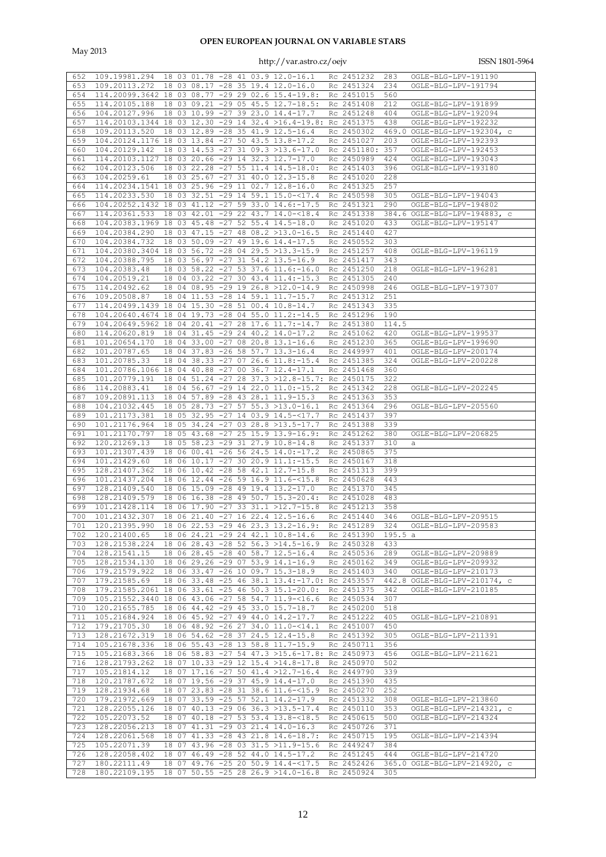May 2013

| 652        |                                                                  |    |  |  |                                                |                          |       |                                                                                         |
|------------|------------------------------------------------------------------|----|--|--|------------------------------------------------|--------------------------|-------|-----------------------------------------------------------------------------------------|
|            | 109.19981.294                                                    |    |  |  | 18 03 01.78 -28 41 03.9 12.0-16.1              | Rc 2451232               | 283   | OGLE-BLG-LPV-191190                                                                     |
| 653        | 109.20113.272                                                    |    |  |  | 18 03 08.17 -28 35 19.4 12.0-16.0              | Rc 2451324               | 234   | OGLE-BLG-LPV-191794                                                                     |
| 654        | 114.20099.3642 18 03 08.77 -29 29 02.6 15.4-19.8:                |    |  |  |                                                | Rc 2451015               | 560   |                                                                                         |
|            |                                                                  |    |  |  |                                                |                          |       |                                                                                         |
| 655        | 114.20105.188                                                    |    |  |  | 18 03 09.21 -29 05 45.5 12.7-18.5:             | Rc 2451408               | 212   | OGLE-BLG-LPV-191899                                                                     |
| 656        | 104.20127.996                                                    |    |  |  | 18 03 10.99 -27 39 23.0 14.4-17.7              | Rc 2451248               | 404   | OGLE-BLG-LPV-192094                                                                     |
| 657        | 114.20103.1344 18 03 12.30 -29 14 32.4 >16.4-19.8: Rc 2451375    |    |  |  |                                                |                          | 438   | OGLE-BLG-LPV-192232                                                                     |
|            |                                                                  |    |  |  |                                                |                          |       |                                                                                         |
| 658        | 109.20113.520                                                    |    |  |  | 18 03 12.89 -28 35 41.9 12.5-16.4              | Rc 2450302               |       | 469.0 OGLE-BLG-LPV-192304, c                                                            |
| 659        | 104.20124.1176 18                                                |    |  |  | 03 13.84 -27 50 43.5 13.8-17.2                 | Rc 2451027               | 203   | OGLE-BLG-LPV-192393                                                                     |
| 660        | 104.20129.142                                                    |    |  |  | 18 03 14.53 -27 31 09.3 >13.6-17.0             | Rc 2451180:              | 357   | OGLE-BLG-LPV-192453                                                                     |
|            |                                                                  |    |  |  |                                                |                          |       |                                                                                         |
| 661        | 114.20103.1127 18 03 20.66 -29 14 32.3 12.7-17.0                 |    |  |  |                                                | Rc 2450989               | 424   | OGLE-BLG-LPV-193043                                                                     |
| 662        | 104.20123.506                                                    |    |  |  | 18 03 22.28 -27 55 11.4 14.5-18.0:             | Rc 2451403               | 396   | OGLE-BLG-LPV-193180                                                                     |
| 663        | 104.20259.61                                                     |    |  |  | 18 03 25.67 -27 31 40.0 12.3-15.8              | Rc 2451020               | 228   |                                                                                         |
|            |                                                                  |    |  |  |                                                |                          |       |                                                                                         |
| 664        | 114.20234.1541 18 03 25.96 -29 11 02.7 12.8-16.0                 |    |  |  |                                                | Rc 2451325               | 257   |                                                                                         |
| 665        | 114.20233.530                                                    |    |  |  | 18 03 32.51 -29 14 59.1 15.0-<17.4             | Rc 2450598               | 305   | OGLE-BLG-LPV-194043                                                                     |
| 666        | 104.20252.1432 18 03 41.12 -27 59 33.0 14.6:-17.5                |    |  |  |                                                | Rc 2451321               | 290   | OGLE-BLG-LPV-194802                                                                     |
|            |                                                                  |    |  |  |                                                |                          |       |                                                                                         |
| 667        | 114.20361.533                                                    |    |  |  | 18 03 42.01 -29 22 43.7 14.0-<18.4             | Rc 2451338               |       | 384.6 OGLE-BLG-LPV-194883, c                                                            |
| 668        | 104.20383.1969 18 03 45.48 -27 52 55.4 14.5-18.0                 |    |  |  |                                                | Rc 2451020               | 433   | OGLE-BLG-LPV-195147                                                                     |
| 669        | 104.20384.290                                                    |    |  |  | 18 03 47.15 -27 48 08.2 >13.0-16.5             | Rc 2451440               | 427   |                                                                                         |
|            |                                                                  |    |  |  |                                                |                          |       |                                                                                         |
| 670        | 104.20384.732                                                    |    |  |  | 18 03 50.09 -27 49 19.6 14.4-17.5              | Rc 2450552               | 303   |                                                                                         |
| 671        | 104.20380.3404 18 03 56.72 -28 04 29.5 >13.3-15.9                |    |  |  |                                                | Rc 2451257               | 408   | OGLE-BLG-LPV-196119                                                                     |
| 672        | 104.20388.795                                                    |    |  |  | 18 03 56.97 -27 31 54.2 13.5-16.9              | Rc 2451417               | 343   |                                                                                         |
|            |                                                                  |    |  |  |                                                |                          |       |                                                                                         |
| 673        | 104.20383.48                                                     |    |  |  | 18 03 58.22 -27 53 37.6 11.6:-16.0             | Rc 2451250               | 218   | OGLE-BLG-LPV-196281                                                                     |
| 674        | 104.20519.21                                                     |    |  |  | 18 04 03.22 -27 30 43.4 11.4:-15.3             | Rc 2451305               | 240   |                                                                                         |
| 675        | 114.20492.62                                                     |    |  |  | 18 04 08.95 -29 19 26.8 >12.0-14.9             | Rc 2450998               | 246   | OGLE-BLG-LPV-197307                                                                     |
| 676        | 109.20508.87                                                     |    |  |  | 18 04 11.53 -28 14 59.1 11.7-15.7              | Rc 2451312               | 251   |                                                                                         |
|            |                                                                  |    |  |  |                                                |                          |       |                                                                                         |
| 677        | 114.20499.1439 18 04 15.30 -28 51 00.4 10.8-14.7                 |    |  |  |                                                | Rc 2451343               | 335   |                                                                                         |
| 678        | 104.20640.4674 18 04 19.73 -28 04 55.0 11.2:-14.5                |    |  |  |                                                | Rc 2451296               | 190   |                                                                                         |
| 679        | 104.20649.5962 18 04 20.41 -27 28 17.6 11.7:-14.7                |    |  |  |                                                | Rc 2451380               | 114.5 |                                                                                         |
|            |                                                                  |    |  |  |                                                |                          |       |                                                                                         |
| 680        | 114.20620.819                                                    |    |  |  | 18 04 31.45 -29 24 40.2 14.0-17.2              | Rc 2451062               | 420   | OGLE-BLG-LPV-199537                                                                     |
| 681        | 101.20654.170                                                    |    |  |  | 18 04 33.00 -27 08 20.8 13.1-16.6              | Rc 2451230               | 365   | OGLE-BLG-LPV-199690                                                                     |
| 682        | 101.20787.65                                                     |    |  |  | 18 04 37.83 -26 58 57.7 13.3-16.4              | Rc 2449997               | 401   | OGLE-BLG-LPV-200174                                                                     |
| 683        | 101.20785.33                                                     |    |  |  | 18 04 38.33 -27 07 26.6 11.8:-15.4             | Rc 2451385               | 324   | OGLE-BLG-LPV-200228                                                                     |
|            |                                                                  |    |  |  |                                                |                          |       |                                                                                         |
| 684        | 101.20786.1066 18 04 40.88 -27 00 36.7 12.4-17.1                 |    |  |  |                                                | Rc 2451468               | 360   |                                                                                         |
| 685        | 101.20779.191                                                    |    |  |  | 18 04 51.24 -27 28 37.3 >12.8-15.7: Rc 2450175 |                          | 322   |                                                                                         |
| 686        | 114.20883.41                                                     |    |  |  | 18 04 56.67 -29 14 22.0 11.0:-15.2             | Rc 2451342               | 228   | OGLE-BLG-LPV-202245                                                                     |
|            |                                                                  |    |  |  |                                                |                          |       |                                                                                         |
| 687        | 109.20891.113                                                    |    |  |  | 18 04 57.89 -28 43 28.1 11.9-15.3              | Rc 2451363               | 353   |                                                                                         |
| 688        | 104.21032.445                                                    |    |  |  | 18 05 28.73 -27 57 55.3 >13.0-16.1             | Rc 2451364               | 296   | OGLE-BLG-LPV-205560                                                                     |
| 689        | 101.21173.381                                                    |    |  |  | 18 05 32.95 -27 14 03.9 14.5-<17.7             | Rc 2451437               | 397   |                                                                                         |
| 690        | 101.21176.964                                                    |    |  |  | 18 05 34.24 -27 03 28.8 >13.5-17.7             | Rc 2451388               | 339   |                                                                                         |
|            |                                                                  |    |  |  |                                                |                          |       |                                                                                         |
| 691        | 101.21170.797                                                    |    |  |  | 18 05 43.68 -27 25 15.9 13.9-16.9:             | Rc 2451262               | 380   | OGLE-BLG-LPV-206825                                                                     |
| 692        | 120.21269.13                                                     |    |  |  | 18 05 58.23 -29 31 27.9 10.8-14.8              | Rc 2451337               | 310   | а                                                                                       |
| 693        | 101.21307.439                                                    |    |  |  | 18 06 00.41 -26 56 24.5 14.0:-17.2             | Rc 2450865               | 375   |                                                                                         |
|            |                                                                  |    |  |  |                                                |                          |       |                                                                                         |
|            |                                                                  |    |  |  |                                                |                          |       |                                                                                         |
| 694        | 101.21429.60                                                     | 18 |  |  | 06 10.17 -27 30 20.9 11.1: -15.5               | Rc 2450167               | 318   |                                                                                         |
| 695        | 128.21407.362                                                    |    |  |  | 18 06 10.42 -28 58 42.1 12.7-15.8              | Rc 2451313               | 399   |                                                                                         |
|            |                                                                  |    |  |  |                                                |                          |       |                                                                                         |
| 696        | 101.21437.204                                                    |    |  |  | 18 06 12.44 -26 59 16.9 11.6-<15.8             | Rc 2450628               | 443   |                                                                                         |
| 697        | 128.21409.540                                                    |    |  |  | 18 06 15.09 -28 49 19.4 13.2-17.0              | Rc 2451370               | 345   |                                                                                         |
| 698        | 128.21409.579                                                    |    |  |  | 18 06 16.38 -28 49 50.7 15.3-20.4:             | Rc 2451028               | 483   |                                                                                         |
| 699        | 101.21428.114                                                    |    |  |  | 18 06 17.90 -27 33 31.1 >12.7-15.8             | Rc 2451213               | 358   |                                                                                         |
|            |                                                                  |    |  |  |                                                |                          |       |                                                                                         |
| 700        | 101.21432.307                                                    |    |  |  | 18 06 21.40 -27 16 22.4 12.5-16.6              | Rc 2451440               | 346   | OGLE-BLG-LPV-209515                                                                     |
|            |                                                                  |    |  |  |                                                |                          |       | 701 120.21395.990 18 06 22.53 -29 46 23.3 13.2-16.9: Rc 2451289 324 OGLE-BLG-LPV-209583 |
| 702        | 120.21400.65                                                     |    |  |  | 18 06 24.21 -29 24 42.1 10.8-14.6              | Rc 2451390 195.5 a       |       |                                                                                         |
|            |                                                                  |    |  |  |                                                |                          |       |                                                                                         |
| 703        | 128.21538.224                                                    |    |  |  | 18 06 28.43 -28 52 56.3 >14.5-16.9             | Rc 2450328               | 433   |                                                                                         |
| 704        | 128.21541.15                                                     |    |  |  | 18 06 28.45 -28 40 58.7 12.5-16.4              | Rc 2450536               | 289   | OGLE-BLG-LPV-209889                                                                     |
| 705        | 128.21534.130                                                    |    |  |  | 18 06 29.26 -29 07 53.9 14.1-16.9              | Rc 2450162               | 349   | OGLE-BLG-LPV-209932                                                                     |
| 706        | 179.21579.922                                                    |    |  |  | 18 06 33.47 -26 10 09.7 15.3-18.9              | Rc 2451403               | 340   | OGLE-BLG-LPV-210173                                                                     |
|            |                                                                  |    |  |  |                                                |                          |       |                                                                                         |
| 707        | 179.21585.69                                                     |    |  |  | 18 06 33.48 -25 46 38.1 13.4:-17.0: Rc 2453557 |                          |       | 442.8 OGLE-BLG-LPV-210174, c                                                            |
| 708        | 179.21585.2061 18 06 33.61 -25 46 50.3 15.1-20.0:                |    |  |  |                                                | Rc 2451375               | 342   | OGLE-BLG-LPV-210185                                                                     |
| 709        | 105.21552.3440 18 06 43.06 -27 58 54.7 11.9-<16.6                |    |  |  |                                                | Rc 2450534               | 307   |                                                                                         |
| 710        | 120.21655.785                                                    |    |  |  | 18 06 44.42 -29 45 33.0 15.7-18.7              | Rc 2450200               | 518   |                                                                                         |
|            |                                                                  |    |  |  |                                                |                          |       |                                                                                         |
| 711        | 105.21684.924                                                    |    |  |  | 18 06 45.92 -27 49 44.0 14.2-17.7              | Rc 2451222               | 405   | OGLE-BLG-LPV-210891                                                                     |
| 712        | 179.21705.30                                                     |    |  |  | 18 06 48.92 -26 27 34.0 11.0-<14.1             | Rc 2451007               | 450   |                                                                                         |
| 713        | 128.21672.319                                                    |    |  |  | 18 06 54.62 -28 37 24.5 12.4-15.8              | Rc 2451392               | 305   | OGLE-BLG-LPV-211391                                                                     |
|            |                                                                  |    |  |  |                                                |                          |       |                                                                                         |
| 714        | 105.21678.336                                                    |    |  |  | 18 06 55.43 -28 13 58.8 11.7-15.9              | Rc 2450711               | 356   |                                                                                         |
| 715        | 105.21683.366                                                    |    |  |  | 18 06 58.83 -27 54 47.3 >15.6-17.8: Rc 2450973 |                          | 456   | OGLE-BLG-LPV-211621                                                                     |
| 716        | 128.21793.262                                                    |    |  |  | 18 07 10.33 -29 12 15.4 >14.8-17.8             | Rc 2450970               | 502   |                                                                                         |
| 717        | 105.21814.12                                                     |    |  |  | 18 07 17.16 -27 50 41.4 >12.7-16.4             | Rc 2449790               | 339   |                                                                                         |
|            |                                                                  |    |  |  |                                                |                          |       |                                                                                         |
| 718        | 120.21787.672                                                    |    |  |  | 18 07 19.56 -29 37 45.9 14.4-17.0              | Rc 2451390               | 435   |                                                                                         |
| 719        | 128.21934.68                                                     |    |  |  | 18 07 23.83 -28 31 38.6 11.6-<15.9             | Rc 2450270               | 252   |                                                                                         |
| 720        | 179.21972.669                                                    |    |  |  | 18 07 33.59 -25 57 52.1 14.2-17.9              | Rc 2451332               | 308   | OGLE-BLG-LPV-213860                                                                     |
| 721        | 128.22055.126                                                    |    |  |  | 18 07 40.13 -29 06 36.3 >13.5-17.4             | Rc 2450110               | 353   | OGLE-BLG-LPV-214321, c                                                                  |
|            |                                                                  |    |  |  |                                                |                          |       |                                                                                         |
| 722        | 105.22073.52                                                     |    |  |  | 18 07 40.18 -27 53 53.4 13.8-<18.5             | Rc 2450615               | 500   | OGLE-BLG-LPV-214324                                                                     |
| 723        | 128.22056.213                                                    |    |  |  | 18 07 41.31 -29 03 21.4 14.0-16.3              | Rc 2450726               | 371   |                                                                                         |
| 724        | 128.22061.568                                                    |    |  |  | 18 07 41.33 -28 43 21.8 14.6-18.7:             | Rc 2450715               | 195   | OGLE-BLG-LPV-214394                                                                     |
| 725        | 105.22071.39                                                     |    |  |  | 18 07 43.96 -28 03 31.5 >11.9-15.6             | Rc 2449247               | 384   |                                                                                         |
|            |                                                                  |    |  |  |                                                |                          |       |                                                                                         |
| 726        | 128.22058.402                                                    |    |  |  | 18 07 46.49 -28 52 44.0 14.5-17.2              | Rc 2451245               | 444   | OGLE-BLG-LPV-214720                                                                     |
| 727<br>728 | 180.22111.49<br>180.22109.195 18 07 50.55 -25 28 26.9 >14.0-16.8 |    |  |  | 18 07 49.76 -25 20 50.9 14.4-<17.5             | Rc 2452426<br>Rc 2450924 | 305   | 365.0 OGLE-BLG-LPV-214920, c                                                            |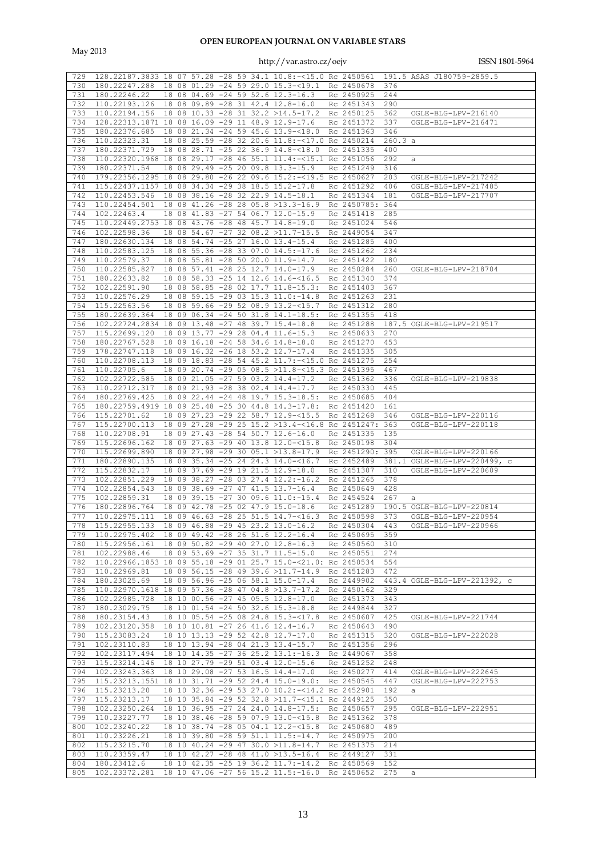May 2013

|     |                                                                                        |  |  |                                                      |                 |         | 128.22187.3833 18 07 57.28 -28 59 34.1 10.8:-<15.0 Rc 2450561 191.5 ASAS J180759-2859.5 |
|-----|----------------------------------------------------------------------------------------|--|--|------------------------------------------------------|-----------------|---------|-----------------------------------------------------------------------------------------|
| 729 |                                                                                        |  |  |                                                      |                 |         |                                                                                         |
| 730 | 180.22247.288  18  08  01.29  - 24  59  29.0  15.3  - < 19.1  Rc  2450678              |  |  |                                                      |                 | 376     |                                                                                         |
| 731 | 180.22246.22                                                                           |  |  | 18 08 04.69 -24 59 52.6 12.3-16.3                    | Rc 2450925      | 244     |                                                                                         |
| 732 | 110.22193.126 18 08 09.89 -28 31 42.4 12.8-16.0                                        |  |  |                                                      | Rc 2451343      | 290     |                                                                                         |
| 733 | 110.22194.156                                                                          |  |  | 18 08 10.33 -28 31 32.2 >14.5-17.2 Rc 2450125        |                 | 362     | OGLE-BLG-LPV-216140                                                                     |
| 734 | 128.22313.1871 18 08 16.09 -29 11 48.9 12.9-17.6                                       |  |  |                                                      | Rc 2451372      | 337     | OGLE-BLG-LPV-216471                                                                     |
| 735 | 180.22376.685                                                                          |  |  | 18 08 21.34 -24 59 45.6 13.9-<18.0 Rc 2451363        |                 | 346     |                                                                                         |
|     |                                                                                        |  |  |                                                      |                 |         |                                                                                         |
| 736 | 110.22323.31                                                                           |  |  | 18 08 25.59 -28 32 20.6 11.8:-<17.0 Rc 2450214       |                 | 260.3 a |                                                                                         |
| 737 | 180.22371.729                                                                          |  |  | 18 08 28.71 -25 22 36.9 14.8-<18.0 Rc 2451335        |                 | 400     |                                                                                         |
| 738 | 110.22320.1968 18 08 29.17 -28 46 55.1 11.4:-<15.1 Rc 2451056                          |  |  |                                                      |                 | 292     | а                                                                                       |
| 739 | 180.22371.54                                                                           |  |  | 18 08 29.49 -25 20 09.8 13.3-15.9                    | Rc 2451249      | 316     |                                                                                         |
| 740 | 179.22356.1295 18 08 29.80 -26 22 09.6 15.2:-<19.5 Rc 2450627                          |  |  |                                                      |                 | 203     | OGLE-BLG-LPV-217242                                                                     |
| 741 | 115.22437.1157 18 08 34.34 -29 38 18.5 15.2-17.8                                       |  |  |                                                      | Rc 2451292      | 406     | OGLE-BLG-LPV-217485                                                                     |
|     |                                                                                        |  |  |                                                      |                 |         | OGLE-BLG-LPV-217707                                                                     |
| 742 | 110.22453.546                                                                          |  |  | 18 08 38.16 -28 32 22.9 14.5-18.1                    | Rc 2451344      | 181     |                                                                                         |
| 743 | 110.22454.501                                                                          |  |  | 18 08 41.26 -28 28 05.8 >13.3-16.9                   | Rc 2450785: 364 |         |                                                                                         |
| 744 | 102.22463.4                                                                            |  |  | 18 08 41.83 -27 54 06.7 12.0-15.9                    | Rc 2451418      | 285     |                                                                                         |
| 745 | 110.22449.2753 18 08 43.76 -28 48 45.7 14.8-19.0                                       |  |  |                                                      | Rc 2451024      | 546     |                                                                                         |
| 746 | 102.22598.36                                                                           |  |  | 18 08 54.67 -27 32 08.2 >11.7-15.5                   | Rc 2449054      | 347     |                                                                                         |
| 747 | 180.22630.134                                                                          |  |  | 18 08 54.74 -25 27 16.0 13.4-15.4                    | Rc 2451285      | 400     |                                                                                         |
| 748 | 110.22583.125                                                                          |  |  | 18 08 55.36 -28 33 07.0 14.5:-17.6 Rc 2451262        |                 | 234     |                                                                                         |
|     |                                                                                        |  |  |                                                      |                 |         |                                                                                         |
| 749 | 110.22579.37                                                                           |  |  | 18 08 55.81 -28 50 20.0 11.9-14.7                    | Rc 2451422      | 180     |                                                                                         |
| 750 | 110.22585.827                                                                          |  |  | 18 08 57.41 -28 25 12.7 14.0-17.9                    | Rc 2450284      | 260     | OGLE-BLG-LPV-218704                                                                     |
| 751 | 180.22633.82                                                                           |  |  | 18 08 58.33 -25 14 12.6 14.6-<16.5                   | Rc 2451340      | 374     |                                                                                         |
| 752 | 102.22591.90                                                                           |  |  | 18 08 58.85 -28 02 17.7 11.8-15.3:                   | Rc 2451403      | 367     |                                                                                         |
| 753 | 110.22576.29                                                                           |  |  | 18 08 59.15 -29 03 15.3 11.0:-14.8                   | Rc 2451263      | 231     |                                                                                         |
| 754 |                                                                                        |  |  |                                                      | Rc 2451312      |         |                                                                                         |
|     | 115.22563.56                                                                           |  |  | 18 08 59.66 -29 52 08.9 13.2-<15.7                   |                 | 280     |                                                                                         |
| 755 | 180.22639.364                                                                          |  |  | 18 09 06.34 -24 50 31.8 14.1-18.5:                   | Rc 2451355      | 418     |                                                                                         |
| 756 | 102.22724.2834 18 09 13.48 -27 48 39.7 15.4-18.8                                       |  |  |                                                      | Rc 2451288      |         | 187.5 OGLE-BLG-LPV-219517                                                               |
| 757 | 115.22699.120                                                                          |  |  | 18 09 13.77 -29 28 04.4 11.6-15.3                    | Rc 2450633      | 270     |                                                                                         |
| 758 | 180.22767.528                                                                          |  |  | 18 09 16.18 -24 58 34.6 14.8-18.0                    | Rc 2451270      | 453     |                                                                                         |
| 759 | 178.22747.118                                                                          |  |  | 18 09 16.32 -26 18 53.2 12.7-17.4                    | Rc 2451335      | 305     |                                                                                         |
|     |                                                                                        |  |  |                                                      |                 |         |                                                                                         |
| 760 | 110.22708.113                                                                          |  |  | 18 09 18.83 -28 54 45.2 11.7:-<15.0 Rc 2451275       |                 | 254     |                                                                                         |
| 761 | 110.22705.6                                                                            |  |  | 18 09 20.74 -29 05 08.5 >11.8-<15.3 Rc 2451395       |                 | 467     |                                                                                         |
| 762 | 102.22722.585                                                                          |  |  | 18 09 21.05 -27 59 03.2 14.4-17.2                    | Rc 2451362      | 336     | OGLE-BLG-LPV-219838                                                                     |
| 763 | 110.22712.317                                                                          |  |  | 18 09 21.93 -28 38 02.4 14.4-17.7                    | Rc 2450330      | 445     |                                                                                         |
| 764 | 180.22769.425                                                                          |  |  | 18 09 22.44 -24 48 19.7 15.3-18.5:                   | Rc 2450685      | 404     |                                                                                         |
| 765 | 180.22759.4919 18 09 25.48 -25 30 44.8 14.3-17.8:                                      |  |  |                                                      | Rc 2451420      | 161     |                                                                                         |
|     |                                                                                        |  |  |                                                      |                 |         |                                                                                         |
| 766 | 115.22701.62                                                                           |  |  | 18 09 27.23 -29 22 58.7 12.9-<15.5                   | Rc 2451268      | 346     | OGLE-BLG-LPV-220116                                                                     |
| 767 | 115.22700.113                                                                          |  |  | 18 09 27.28 -29 25 15.2 >13.4-<16.8 Rc 2451247: 363  |                 |         | OGLE-BLG-LPV-220118                                                                     |
| 768 | 110.22708.91                                                                           |  |  | 18 09 27.43 -28 54 50.7 12.6-16.0                    | Rc 2451335      | 135     |                                                                                         |
|     | 115.22696.162                                                                          |  |  | 18 09 27.63 -29 40 13.8 12.0-<15.8                   | Rc 2450198      | 304     |                                                                                         |
| 769 |                                                                                        |  |  |                                                      |                 |         |                                                                                         |
|     |                                                                                        |  |  |                                                      |                 |         |                                                                                         |
| 770 | 115.22699.890                                                                          |  |  | 18 09 27.98 -29 30 05.1 >13.8-17.9                   | Rc 2451290: 395 |         | OGLE-BLG-LPV-220166                                                                     |
| 771 | 180.22890.135                                                                          |  |  | 18 09 35.34 -25 24 24.3 14.0-<16.7                   | Rc 2452489      |         | 381.1 OGLE-BLG-LPV-220499, c                                                            |
| 772 | 115.22832.17                                                                           |  |  | 18 09 37.69 -29 19 21.5 12.9-18.0                    | Rc 2451307      | 310     | OGLE-BLG-LPV-220609                                                                     |
| 773 | 102.22851.229                                                                          |  |  | 18 09 38.27 -28 03 27.4 12.2:-16.2                   | Rc 2451265      | 378     |                                                                                         |
| 774 | 102.22854.543                                                                          |  |  | 18 09 38.69 -27 47 41.5 13.7-16.4                    | Rc 2450649      | 428     |                                                                                         |
| 775 | 102.22859.31                                                                           |  |  |                                                      | Rc 2454524      | 267     | а                                                                                       |
|     |                                                                                        |  |  | $18$ 09 39.15 $-27$ 30 09.6 11.0: $-15.4$            |                 |         |                                                                                         |
| 776 | 180.22896.764                                                                          |  |  | 18 09 42.78 -25 02 47.9 15.0-18.6                    | Rc 2451289      |         | 190.5 OGLE-BLG-LPV-220814                                                               |
| 777 | 110.22975.111                                                                          |  |  | 18 09 46.63 -28 25 51.5 14.7-<16.3                   | Rc 2450598      | 373     | OGLE-BLG-LPV-220954                                                                     |
|     |                                                                                        |  |  |                                                      |                 |         | 778 115.22955.133 18 09 46.88 -29 45 23.2 13.0-16.2 Rc 2450304 443 OGLE-BLG-LPV-220966  |
|     | 779 110.22975.402 18 09 49.42 -28 26 51.6 12.2-16.4                                    |  |  |                                                      | Rc 2450695 359  |         |                                                                                         |
| 780 | 115.22956.161  18  09  50.82  -29  40  27.0  12.8-16.3                                 |  |  |                                                      | Rc 2450560 310  |         |                                                                                         |
|     | 781 102.22988.46                                                                       |  |  | 18 09 53.69 -27 35 31.7 11.5-15.0                    | Rc 2450551      | 274     |                                                                                         |
|     | 782 110.22966.1853 18 09 55.18 -29 01 25.7 15.0-<21.0: Rc 2450534 554                  |  |  |                                                      |                 |         |                                                                                         |
|     |                                                                                        |  |  |                                                      |                 |         |                                                                                         |
|     | 783 110.22969.81                                                                       |  |  | 18 09 56.15 -28 49 39.6 >11.7-14.9 Rc 2451283        |                 | 472     |                                                                                         |
| 784 | 180.23025.69                                                                           |  |  | 18 09 56.96 -25 06 58.1 15.0-17.4                    |                 |         | Rc 2449902 443.4 OGLE-BLG-LPV-221392, c                                                 |
|     | 785 110.22970.1618 18 09 57.36 -28 47 04.8 >13.7-17.2                                  |  |  |                                                      | Rc 2450162 329  |         |                                                                                         |
|     | 786 102.22985.728                                                                      |  |  | 18 10 00.56 -27 45 05.5 12.8-17.0                    | Rc 2451373 343  |         |                                                                                         |
| 787 | 180.23029.75                                                                           |  |  | 18 10 01.54 -24 50 32.6 15.3-18.8                    | Rc 2449844      | 327     |                                                                                         |
|     | 788 180.23154.43                                                                       |  |  | 18 10 05.54 -25 08 24.8 15.3-<17.8 Rc 2450607 425    |                 |         | OGLE-BLG-LPV-221744                                                                     |
|     |                                                                                        |  |  |                                                      |                 |         |                                                                                         |
| 789 | 102.23120.358                                                                          |  |  | 18 10 10.81 -27 26 41.6 12.4-16.7                    | Rc 2450643      | 490     |                                                                                         |
|     | 790 115.23083.24                                                                       |  |  | 18 10 13.13 -29 52 42.8 12.7-17.0                    | Rc 2451315 320  |         | OGLE-BLG-LPV-222028                                                                     |
|     | 791 102.23110.83                                                                       |  |  | 18 10 13.94 -28 04 21.3 13.4-15.7                    | Rc 2451356      | 296     |                                                                                         |
|     | 792 102.23117.494 18 10 14.35 -27 36 25.2 13.1:-16.3 Rc 2449067                        |  |  |                                                      |                 | 358     |                                                                                         |
|     | 793 115.23214.146                                                                      |  |  | 18 10 27.79 -29 51 03.4 12.0-15.6                    | Rc 2451252      | 248     |                                                                                         |
|     | 794 102.23243.363                                                                      |  |  | 18 10 29.08 -27 53 16.5 14.4-17.0                    | Rc 2450277 414  |         | OGLE-BLG-LPV-222645                                                                     |
|     |                                                                                        |  |  |                                                      |                 |         |                                                                                         |
|     | 795 115.23213.1551 18 10 31.71 -29 52 24.4 15.0-19.0: Rc 2450545 447                   |  |  |                                                      |                 |         | OGLE-BLG-LPV-222753                                                                     |
| 796 | 115.23213.20                                                                           |  |  | 18 10 32.36 -29 53 27.0 10.2: -< 14.2 Rc 2452901 192 |                 |         | а                                                                                       |
| 797 | 115.23213.17                                                                           |  |  | 18 10 35.84 -29 52 32.8 >11.7-<15.1 Rc 2449125 350   |                 |         |                                                                                         |
|     | 798  102.23250.264  18  10  36.95  -27  24  24.0  14.8-17.5:  Rc  2450657  295         |  |  |                                                      |                 |         | OGLE-BLG-LPV-222951                                                                     |
|     | 799 110.23227.77                                                                       |  |  | 18 10 38.46 -28 59 07.9 13.0-<15.8                   | Rc 2451362      | 378     |                                                                                         |
|     |                                                                                        |  |  |                                                      |                 |         |                                                                                         |
|     | 800 102.23240.22                                                                       |  |  | 18 10 38.74 -28 05 04.1 12.2-<15.8                   | Rc 2450680 489  |         |                                                                                         |
| 801 | 110.23226.21                                                                           |  |  | 18 10 39.80 -28 59 51.1 11.5:-14.7                   | Rc 2450975      | 200     |                                                                                         |
|     | 802 115.23215.70                                                                       |  |  | 18 10 40.24 -29 47 30.0 >11.8-14.7                   | Rc 2451375      | 214     |                                                                                         |
|     | 803 110.23359.47                                                                       |  |  | 18 10 42.27 -28 48 41.0 >13.5-16.4 Rc 2449127 331    |                 |         |                                                                                         |
|     | 804 180.23412.6<br>805 102.23372.281 18 10 47.06 -27 56 15.2 11.5:-16.0 Rc 2450652 275 |  |  | 18 10 42.35 -25 19 36.2 11.7:-14.2 Rc 2450569 152    |                 |         |                                                                                         |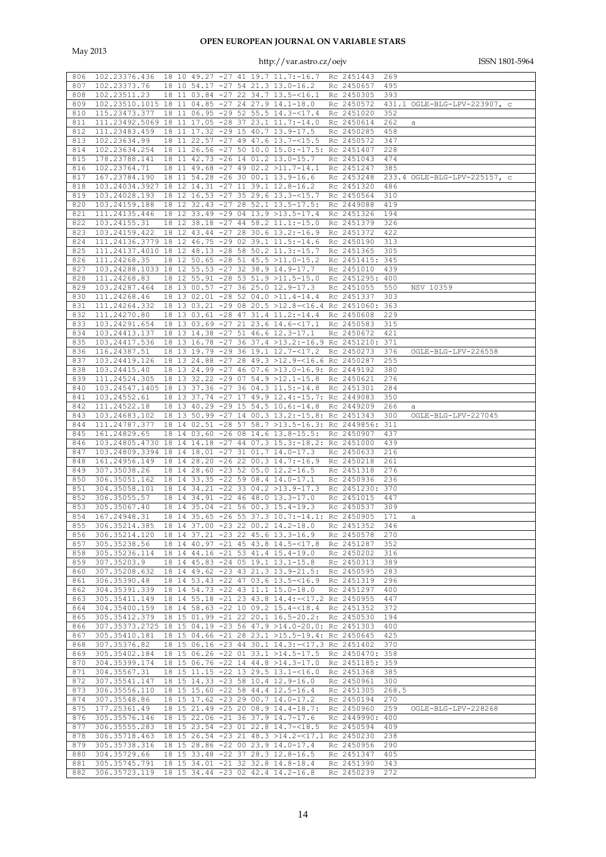May 2013

| 806        | 102.23376.436                                                                                      |    |                  |                  | 18 10 49.27 -27 41 19.7 11.7:-16.7                  | Rc 2451443                   | 269 |                              |
|------------|----------------------------------------------------------------------------------------------------|----|------------------|------------------|-----------------------------------------------------|------------------------------|-----|------------------------------|
| 807        | 102.23373.76                                                                                       |    |                  |                  | 18 10 54.17 -27 54 21.3 13.0-16.2                   | Rc 2450657                   | 495 |                              |
|            |                                                                                                    |    |                  |                  |                                                     |                              |     |                              |
| 808        | 102.23511.23                                                                                       |    |                  |                  | 18 11 03.84 -27 22 34.7 13.5-<16.1                  | Rc 2450305                   | 393 |                              |
| 809        | 102.23510.1015 18                                                                                  |    |                  |                  | 11 04.85 -27 24 27.9 14.1-18.0                      | Rc 2450572                   |     | 431.1 OGLE-BLG-LPV-223907, c |
|            |                                                                                                    |    |                  |                  |                                                     |                              |     |                              |
| 810        | 115.23473.377                                                                                      | 18 |                  |                  | 11 06.95 -29 52 55.5 14.3-<17.4                     | Rc 2451020                   | 352 |                              |
| 811        | 111.23492.5069 18                                                                                  |    |                  |                  | 11 17.05 -28 37 23.1 11.7:-14.0                     | Rc 2450614                   | 262 | а                            |
|            |                                                                                                    |    |                  |                  |                                                     |                              |     |                              |
| 812        | 111.23483.459                                                                                      | 18 |                  |                  | 11 17.32 -29 15 40.7 13.9-17.5                      | Rc 2450285                   | 458 |                              |
| 813        | 102.23634.99                                                                                       | 18 |                  |                  | 11 22.57 -27 49 47.6 13.7-<15.5                     | Rc 2450572                   | 347 |                              |
|            |                                                                                                    |    |                  |                  |                                                     |                              |     |                              |
| 814        | 102.23634.254                                                                                      |    |                  |                  | 18 11 26.56 -27 50 10.0 15.0:-17.5: Rc 2451407      |                              | 228 |                              |
| 815        | 178.23788.141                                                                                      |    |                  |                  | 18 11 42.73 -26 14 01.2 13.0-15.7                   | Rc 2451043                   | 474 |                              |
| 816        | 102.23764.71                                                                                       | 18 |                  |                  | 11 49.68 -27 49 02.2 >11.7-14.1                     | Rc 2451247                   | 385 |                              |
|            |                                                                                                    |    |                  |                  |                                                     |                              |     |                              |
| 817        | 167.23784.190                                                                                      |    |                  |                  | 18 11 54.28 -26 30 00.1 13.9-16.6                   | Rc 2453248                   |     | 233.4 OGLE-BLG-LPV-225157, c |
| 818        | 103.24034.3927                                                                                     | 18 |                  |                  | 12 14.31 -27 11 39.1 12.8-16.2                      | Rc 2451320                   | 486 |                              |
|            |                                                                                                    |    |                  |                  |                                                     |                              |     |                              |
| 819        | 103.24028.193                                                                                      |    |                  |                  | 18 12 16.53 -27 35 29.6 13.3-<15.7                  | Rc 2450564                   | 310 |                              |
| 820        | 103.24159.188                                                                                      | 18 | $12 \t32.43 -27$ |                  | 28 52.1 13.5-17.5:                                  | Rc 2449088                   | 419 |                              |
|            |                                                                                                    |    |                  |                  |                                                     |                              |     |                              |
| 821        | 111.24135.446                                                                                      | 18 |                  |                  | 12 33.49 -29 04 13.9 >13.5-17.4                     | Rc 2451326                   | 194 |                              |
| 822        | 103.24155.31                                                                                       |    |                  |                  | 18 12 38.18 -27 44 58.2 11.1:-15.0                  | Rc 2451379                   | 326 |                              |
|            |                                                                                                    |    |                  |                  |                                                     |                              |     |                              |
| 823        | 103.24159.422                                                                                      |    |                  |                  | 18 12 43.44 -27 28 30.6 13.2:-16.9                  | Rc 2451372                   | 422 |                              |
| 824        | 111.24136.3779 18                                                                                  |    |                  |                  | 12 46.75 -29 02 39.1 11.5: -14.6                    | Rc 2450190                   | 313 |                              |
|            |                                                                                                    |    |                  |                  |                                                     |                              |     |                              |
| 825        | 111.24137.4010 18 12 48.13 -28 58 50.2 11.3:-15.7                                                  |    |                  |                  |                                                     | Rc 2451365                   | 305 |                              |
| 826        | 111.24268.35                                                                                       | 18 |                  |                  | 12 50.65 -28 51 45.5 >11.0-15.2                     | Rc 2451415:                  | 345 |                              |
|            |                                                                                                    |    |                  |                  |                                                     |                              |     |                              |
| 827        | 103.24288.1033 18                                                                                  |    |                  |                  | 12 55.53 -27 32 38.9 14.9-17.7                      | Rc 2451010                   | 439 |                              |
| 828        | 111.24268.83                                                                                       |    |                  |                  | 18 12 55.91 -28 53 51.9 >11.5-15.0                  | Rc 2451295:                  | 400 |                              |
|            |                                                                                                    |    |                  |                  |                                                     |                              |     |                              |
| 829        | 103.24287.464                                                                                      |    |                  |                  | 18 13 00.57 -27 36 25.0 12.9-17.3                   | Rc 2451055                   | 550 | NSV 10359                    |
| 830        | 111.24268.46                                                                                       |    |                  |                  | 18 13 02.01 -28 52 04.0 >11.4-14.4                  | Rc 2451337                   | 303 |                              |
|            |                                                                                                    |    |                  |                  |                                                     |                              |     |                              |
| 831        | 111.24264.332                                                                                      |    |                  |                  | 18 13 03.21 -29 08 20.5 >12.8-<16.4 Rc 2451060:     |                              | 363 |                              |
| 832        | 111.24270.80                                                                                       | 18 |                  | $1303.61 - 2847$ | $31.4$ $11.2:-14.4$                                 | Rc 2450608                   | 229 |                              |
| 833        | 103.24291.654                                                                                      |    |                  |                  | 18 13 03.69 -27 21 23.6 14.6-<17.1                  | Rc 2450583                   | 315 |                              |
|            |                                                                                                    |    |                  |                  |                                                     |                              |     |                              |
| 834        | 103.24413.137                                                                                      |    |                  |                  | 18 13 14.38 -27 51 46.6 12.3-17.1                   | Rc 2450672                   | 421 |                              |
| 835        | 103.24417.536                                                                                      |    |                  |                  | 18 13 16.78 -27 36 37.4 >13.2:-16.9 Rc 2451210: 371 |                              |     |                              |
|            |                                                                                                    |    |                  |                  |                                                     |                              |     |                              |
| 836        | 116.24387.51                                                                                       |    |                  |                  | 18 13 19.79 -29 36 19.1 12.7-<17.2                  | Rc 2450273                   | 376 | OGLE-BLG-LPV-226558          |
| 837        | 103.24419.126                                                                                      |    |                  |                  | 18 13 24.88 -27 28 49.3 >12.9-<16.6 Rc 2450287      |                              | 255 |                              |
|            |                                                                                                    |    |                  |                  |                                                     |                              |     |                              |
| 838        | 103.24415.40                                                                                       |    |                  |                  | 18 13 24.99 -27 46 07.6 >13.0-16.9: Rc 2449192      |                              | 380 |                              |
| 839        | 111.24524.305                                                                                      |    |                  |                  | 18 13 32.22 -29 07 54.9 >12.1-15.8                  | Rc 2450621                   | 276 |                              |
| 840        | 103.24547.1405 18 13 37.36 -27 36 04.3 11.5:-14.8                                                  |    |                  |                  |                                                     | Rc 2451301                   | 284 |                              |
|            |                                                                                                    |    |                  |                  |                                                     |                              |     |                              |
| 841        | 103.24552.61                                                                                       |    |                  |                  | 18 13 37.74 -27 17 49.9 12.4:-15.7: Rc 2449083      |                              | 350 |                              |
| 842        | 111.24522.18                                                                                       |    |                  |                  | 18 13 40.29 -29 15 54.5 10.6:-14.8                  | Rc 2449209                   | 266 | а                            |
|            |                                                                                                    |    |                  |                  |                                                     |                              |     |                              |
| 843        | 103.24683.102                                                                                      |    |                  |                  | 18 13 50.99 -27 14 00.3 13.2:-15.8: Rc 2451343      |                              | 300 | OGLE-BLG-LPV-227045          |
| 844        | 111.24787.377                                                                                      |    |                  |                  | 18 14 02.51 -28 57 58.7 >13.5-16.3: Rc 2449856:     |                              | 311 |                              |
| 845        | 161.24829.65                                                                                       |    |                  |                  | 18 14 03.60 -26 08 14.6 13.8-15.5:                  | Rc 2450907                   | 437 |                              |
|            |                                                                                                    |    |                  |                  |                                                     |                              |     |                              |
| 846        | 103.24805.4730 18 14 14.18 -27 44 07.3 15.3:-18.2: Rc 2451000                                      |    |                  |                  |                                                     |                              | 439 |                              |
| 847        | 103.24809.3394 18 14 18.01 -27 31 01.7 14.0-17.3                                                   |    |                  |                  |                                                     | Rc 2450633                   | 216 |                              |
|            |                                                                                                    |    |                  |                  |                                                     |                              |     |                              |
| 848        | 161.24956.149                                                                                      |    |                  |                  | 18 14 28.20 -26 22 00.3 14.7:-16.9                  | Rc 2450218                   | 261 |                              |
| 849        | 307.35038.26                                                                                       |    |                  |                  | 18 14 28.60 -23 52 05.0 12.2-16.5                   | Rc 2451318                   | 276 |                              |
| 850        | 306.35051.162                                                                                      |    |                  |                  | 18 14 33.35 -22 59 08.4 14.0-17.1                   | Rc 2450936                   | 236 |                              |
|            |                                                                                                    |    |                  |                  |                                                     |                              |     |                              |
| 851        | 304.35058.101                                                                                      |    |                  |                  | 18 14 34.21 -22 33 04.2 >13.9-17.3                  | Rc 2451230: 370              |     |                              |
| 852        | 306.35055.57                                                                                       |    |                  |                  | 18 14 34.91 -22 46 48.0 13.3-17.0                   | Rc 2451015                   | 447 |                              |
|            |                                                                                                    |    |                  |                  |                                                     |                              |     |                              |
| 853        | 305.35067.40                                                                                       |    |                  |                  | 18 14 35.04 -21 56 00.3 15.4-19.3                   | Rc 2450537                   | 309 |                              |
| 854        | 167.24948.31                                                                                       |    |                  |                  | 18 14 35.65 -26 55 37.3 10.7:-14.1: Rc 2450905      |                              | 171 | а                            |
|            | 855 306.35214.385 18 14 37.00 -23 22 00.2 14.2-18.0                                                |    |                  |                  |                                                     |                              |     |                              |
|            |                                                                                                    |    |                  |                  |                                                     | Rc 2451352 346               |     |                              |
| 856        | 306.35214.120 18 14 37.21 -23 22 45.6 13.3-16.9                                                    |    |                  |                  |                                                     | Rc 2450578 270               |     |                              |
| 857        | 305.35238.56                                                                                       |    |                  |                  | 18 14 40.97 -21 45 43.8 14.5-<17.8 Rc 2451287 352   |                              |     |                              |
|            |                                                                                                    |    |                  |                  |                                                     |                              |     |                              |
| 858        | 305.35236.114 18 14 44.16 -21 53 41.4 15.4-19.0                                                    |    |                  |                  |                                                     | Rc 2450202                   | 316 |                              |
| 859        | 307.35203.9                                                                                        |    |                  |                  | 18 14 45.83 -24 05 19.1 13.1-15.8                   | Rc 2450313 389               |     |                              |
| 860        | 307.35208.632                                                                                      |    |                  |                  | 18 14 49.62 -23 43 21.3 13.9-21.5:                  |                              | 283 |                              |
|            |                                                                                                    |    |                  |                  |                                                     | Rc 2450595                   |     |                              |
| 861        | 306.35390.48                                                                                       |    |                  |                  | 18 14 53.43 -22 47 03.6 13.5-<16.9                  | Rc 2451319                   | 296 |                              |
| 862        | 304.35391.339 18 14 54.73 -22 43 11.1 15.0-18.0                                                    |    |                  |                  |                                                     | Rc 2451297                   | 400 |                              |
|            | 305.35411.149                                                                                      |    |                  |                  |                                                     |                              |     |                              |
| 863        |                                                                                                    |    |                  |                  | 18 14 55.18 -21 23 43.8 14.4:-<17.2 Rc 2450955      |                              | 447 |                              |
| 864        |                                                                                                    |    |                  |                  |                                                     |                              |     |                              |
|            | 304.35400.159  18  14  58.63  -22  10  09.2  15.4  -< 18.4  Rc  2451352  372                       |    |                  |                  |                                                     |                              |     |                              |
|            |                                                                                                    |    |                  |                  |                                                     |                              |     |                              |
| 865        | 305.35412.379 18 15 01.99 -21 22 20.1 16.5-20.2: Rc 2450530 194                                    |    |                  |                  |                                                     |                              |     |                              |
| 866        | 307.35373.2725 18 15 04.19 -23 56 47.9 >14.0-20.0: Rc 2451303 400                                  |    |                  |                  |                                                     |                              |     |                              |
|            |                                                                                                    |    |                  |                  |                                                     |                              |     |                              |
| 867        | 305.35410.181  18  15  04.66  -21  28  23.1  >15.5-19.4: Rc  2450645  425                          |    |                  |                  |                                                     |                              |     |                              |
| 868        | 307.35376.82                                                                                       |    |                  |                  | 18 15 06.16 -23 44 30.1 14.3:-<17.3 Rc 2451402      |                              | 370 |                              |
| 869        |                                                                                                    |    |                  |                  |                                                     |                              |     |                              |
|            | 305.35402.184  18  15  06.26  - 22  01  33.1  > 14.5 - 17.5  Rc  2450470: 358                      |    |                  |                  |                                                     |                              |     |                              |
| 870        | 304.35399.174                                                                                      |    |                  |                  | 18 15 06.76 -22 14 44.8 >14.3-17.0                  | Rc 2451185: 359              |     |                              |
| 871        | 304.35567.31                                                                                       |    |                  |                  | 18 15 11.15 -22 13 29.5 13.1-<16.0                  | Rc 2451368 385               |     |                              |
|            |                                                                                                    |    |                  |                  |                                                     |                              |     |                              |
| 872        | 307.35541.147 18 15 14.33 -23 58 10.4 12.9-16.0                                                    |    |                  |                  |                                                     | Rc 2450961                   | 300 |                              |
| 873        | 306.35556.110                                                                                      |    |                  |                  | 18 15 15.60 -22 58 44.4 12.5-16.4                   | Rc 2451305 268.5             |     |                              |
| 874        | 307.35548.86                                                                                       |    |                  |                  | 18 15 17.62 -23 29 00.7 14.0-17.2                   | Rc 2450194 270               |     |                              |
|            |                                                                                                    |    |                  |                  |                                                     |                              |     |                              |
| 875        | 177.25361.49                                                                                       |    |                  |                  | 18 15 21.49 -25 20 08.9 14.4-18.7:                  | Rc 2450960 259               |     | OGLE-BLG-LPV-228268          |
| 876        | 305.35576.146 18 15 22.06 -21 36 37.9 14.7-17.6                                                    |    |                  |                  |                                                     | Rc 2449990: 400              |     |                              |
|            |                                                                                                    |    |                  |                  |                                                     |                              |     |                              |
| 877        | 306.35555.283                                                                                      |    |                  |                  | 18 15 23.54 -23 01 22.8 14.7-<18.5                  | Rc 2450594                   | 409 |                              |
| 878        | 306.35718.463                                                                                      |    |                  |                  | 18 15 26.54 -23 21 48.3 >14.2-<17.1 Rc 2450230      |                              | 238 |                              |
| 879        | 305.35738.316 18 15 28.86 -22 00 23.9 14.0-17.4                                                    |    |                  |                  |                                                     | Rc 2450956 290               |     |                              |
|            |                                                                                                    |    |                  |                  |                                                     |                              |     |                              |
| 880        | 304.35729.66                                                                                       |    |                  |                  | 18 15 33.48 -22 37 28.3 12.8-16.5                   | Rc 2451347                   | 405 |                              |
| 881<br>882 | 305.35745.791 18 15 34.01 -21 32 32.8 14.8-18.4<br>306.35723.119 18 15 34.44 -23 02 42.4 14.2-16.8 |    |                  |                  |                                                     | Rc 2451390 343<br>Rc 2450239 | 272 |                              |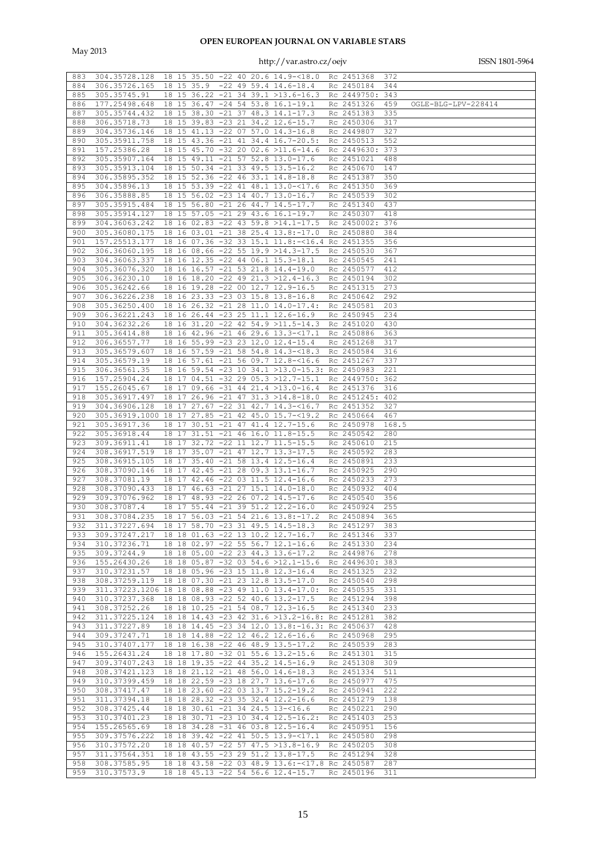May 2013

| 883 | 304.35728.128                                                                  |          |              |    | 18 15 35.50 -22 40 20.6 14.9-<18.0                 | Rc 2451368      | 372   |                     |
|-----|--------------------------------------------------------------------------------|----------|--------------|----|----------------------------------------------------|-----------------|-------|---------------------|
| 884 | 306.35726.165                                                                  |          | 18 15 35.9   |    | $-22$ 49 59.4 14.6-18.4                            | Rc 2450184      | 344   |                     |
|     |                                                                                |          |              |    |                                                    |                 |       |                     |
| 885 | 305.35745.91                                                                   |          |              |    | 18 15 36.22 -21 34 39.1 >13.6-16.3                 | Rc 2449750: 343 |       |                     |
| 886 | 177.25498.648                                                                  |          |              |    | 18 15 36.47 -24 54 53.8 16.1-19.1                  | Rc 2451326      | 459   | OGLE-BLG-LPV-228414 |
| 887 | 305.35744.432                                                                  |          |              |    | 18 15 38.30 -21 37 48.3 14.1-17.3                  | Rc 2451383      | 335   |                     |
|     |                                                                                |          |              |    |                                                    |                 |       |                     |
| 888 | 306.35718.73                                                                   |          |              |    | 18 15 39.83 -23 21 34.2 12.6-15.7                  | Rc 2450306      | 317   |                     |
| 889 | 304.35736.146                                                                  |          |              |    | 18 15 41.13 -22 07 57.0 14.3-16.8                  | Rc 2449807      | 327   |                     |
|     |                                                                                |          |              |    |                                                    |                 |       |                     |
| 890 | 305.35911.758                                                                  |          |              |    | 18 15 43.36 -21 41 34.4 16.7-20.5:                 | Rc 2450513      | 552   |                     |
| 891 | 157.25386.28                                                                   |          |              |    | 18 15 45.70 -32 20 02.6 >11.6-14.6                 | Rc 2449630:     | 373   |                     |
|     |                                                                                |          |              |    |                                                    |                 |       |                     |
| 892 | 305.35907.164                                                                  |          |              |    | 18 15 49.11 -21 57 52.8 13.0-17.6                  | Rc 2451021      | 488   |                     |
| 893 | 305.35913.104                                                                  |          |              |    | 18 15 50.34 -21 33 49.5 13.5-16.2                  | Rc 2450670      | 147   |                     |
| 894 | 306.35895.352                                                                  |          |              |    | 18 15 52.36 -22 46 33.1 14.8-18.8                  | Rc 2451387      | 350   |                     |
|     |                                                                                |          |              |    |                                                    |                 |       |                     |
| 895 | 304.35896.13                                                                   |          |              |    | 18 15 53.39 -22 41 48.1 13.0-<17.6                 | Rc 2451350      | 369   |                     |
| 896 | 306.35888.85                                                                   |          |              |    | 18 15 56.02 -23 14 40.7 13.0-16.7                  | Rc 2450539      | 302   |                     |
|     |                                                                                |          |              |    |                                                    |                 |       |                     |
| 897 | 305.35915.484                                                                  |          |              |    | 18 15 56.80 -21 26 44.7 14.5-17.7                  | Rc 2451340      | 437   |                     |
| 898 | 305.35914.127                                                                  |          |              |    | 18 15 57.05 -21 29 43.6 16.1-19.7                  | Rc 2450307      | 418   |                     |
| 899 |                                                                                |          |              |    | 18 16 02.83 -22 43 59.8 >14.1-17.5                 |                 |       |                     |
|     | 304.36063.242                                                                  |          |              |    |                                                    | Rc 2450002:     | 376   |                     |
| 900 | 305.36080.175                                                                  |          |              |    | 18 16 03.01 -21 38 25.4 13.8:-17.0                 | Rc 2450880      | 384   |                     |
| 901 | 157.25513.177                                                                  |          |              |    | 18 16 07.36 -32 33 15.1 11.8:-<16.4 Rc 2451355     |                 | 356   |                     |
|     |                                                                                |          |              |    |                                                    |                 |       |                     |
| 902 | 306.36060.195                                                                  |          |              |    | 18 16 08.66 -22 55 19.9 >14.3-17.5                 | Rc 2450530      | 367   |                     |
| 903 | 304.36063.337                                                                  |          |              |    | 18 16 12.35 -22 44 06.1 15.3-18.1                  | Rc 2450545      | 241   |                     |
|     |                                                                                |          |              |    |                                                    |                 |       |                     |
| 904 | 305.36076.320                                                                  |          |              |    | 18 16 16.57 -21 53 21.8 14.4-19.0                  | Rc 2450577      | 412   |                     |
| 905 | 306.36230.10                                                                   |          |              |    | 18 16 18.20 -22 49 21.3 >12.4-16.3                 | Rc 2450194      | 302   |                     |
| 906 | 305.36242.66                                                                   |          |              |    | 18 16 19.28 -22 00 12.7 12.9-16.5                  | Rc 2451315      | 273   |                     |
|     |                                                                                |          |              |    |                                                    |                 |       |                     |
| 907 | 306.36226.238                                                                  |          |              |    | 18 16 23.33 -23 03 15.8 13.8-16.8                  | Rc 2450642      | 292   |                     |
| 908 | 305.36250.400                                                                  |          |              |    | 18 16 26.32 -21 28 11.0 14.0-17.4:                 | Rc 2450581      | 203   |                     |
|     |                                                                                |          |              |    |                                                    |                 |       |                     |
| 909 | 306.36221.243                                                                  |          |              |    | 18 16 26.44 -23 25 11.1 12.6-16.9                  | Rc 2450945      | 234   |                     |
| 910 | 304.36232.26                                                                   |          |              |    | 18 16 31.20 -22 42 54.9 >11.5-14.3                 | Rc 2451020      | 430   |                     |
|     |                                                                                |          |              |    |                                                    |                 |       |                     |
| 911 | 305.36414.88                                                                   |          |              |    | 18 16 42.96 -21 46 29.6 13.3-<17.1                 | Rc 2450886      | 363   |                     |
| 912 | 306.36557.77                                                                   |          |              |    | 18 16 55.99 -23 23 12.0 12.4-15.4                  | Rc 2451268      | 317   |                     |
| 913 | 305.36579.607                                                                  |          |              |    |                                                    |                 |       |                     |
|     |                                                                                |          |              |    | 18 16 57.59 -21 58 54.8 14.3-<18.3                 | Rc 2450584      | 316   |                     |
| 914 | 305.36579.19                                                                   |          |              |    | 18 16 57.61 -21 56 09.7 12.8-<16.6                 | Rc 2451267      | 337   |                     |
| 915 | 306.36561.35                                                                   |          |              |    | 18 16 59.54 -23 10 34.1 >13.0-15.3: Rc 2450983     |                 | 221   |                     |
|     |                                                                                |          |              |    |                                                    |                 |       |                     |
| 916 | 157.25904.24                                                                   |          |              |    | 18 17 04.51 -32 29 05.3 >12.7-15.1                 | Rc 2449750: 362 |       |                     |
| 917 | 155.26045.67                                                                   | 18<br>17 |              |    | $09.66 - 31 44 21.4 > 13.0 - 16.4$                 | Rc 2451376      | 316   |                     |
|     |                                                                                |          |              |    |                                                    |                 |       |                     |
| 918 | 305.36917.497                                                                  |          |              |    | 18 17 26.96 -21 47 31.3 >14.8-18.0                 | Rc 2451245: 402 |       |                     |
| 919 | 304.36906.128                                                                  | 18 17    |              |    | 27.67 -22 31 42.7 14.3-<16.7                       | Rc 2451352      | 327   |                     |
| 920 | 305.36919.1000 18 17                                                           |          | $27.85 - 21$ |    | 42 45.0 15.7-<19.2                                 |                 | 467   |                     |
|     |                                                                                |          |              |    |                                                    | Rc 2450664      |       |                     |
| 921 | 305.36917.36                                                                   | 18 17    |              |    | 30.51 -21 47 41.4 12.7-15.6                        | Rc 2450978      | 168.5 |                     |
| 922 | 305.36918.44                                                                   | 18 17    | $31.51 - 21$ |    | 46 16.0 11.8-15.5                                  | Rc 2450542      | 280   |                     |
|     |                                                                                |          |              |    |                                                    |                 |       |                     |
| 923 | 309.36911.41                                                                   | 17<br>18 |              |    | 32.72 -22 11 12.7 11.5-15.5                        | Rc 2450610      | 215   |                     |
| 924 | 308.36917.519                                                                  | 18 17    |              |    | 35.07 -21 47 12.7 13.3-17.5                        | Rc 2450592      | 283   |                     |
|     |                                                                                |          |              |    |                                                    |                 |       |                     |
| 925 | 308.36915.105                                                                  | 18<br>17 | $35.40 -21$  |    | 58 13.4 12.5-16.4                                  | Rc 2450891      | 233   |                     |
| 926 | 308.37090.146                                                                  |          |              |    | 18 17 42.45 -21 28 09.3 13.1-16.7                  | Rc 2450925      | 290   |                     |
| 927 | 308.37081.19                                                                   |          |              |    | 18 17 42.46 -22 03 11.5 12.4-16.6                  | Rc 2450233      | 273   |                     |
|     |                                                                                |          |              |    |                                                    |                 |       |                     |
| 928 | 308.37090.433                                                                  | 18 17    | $46.63 - 21$ | 27 | 15.1 14.0-18.0                                     | Rc 2450932      | 404   |                     |
| 929 | 309.37076.962                                                                  |          |              |    | 18 17 48.93 -22 26 07.2 14.5-17.6                  | Rc 2450540      | 356   |                     |
|     |                                                                                |          |              |    |                                                    |                 |       |                     |
| 930 | 308.37087.4                                                                    | 18 17    |              |    | 55.44 -21 39 51.2 12.2-16.0                        | Rc 2450924      | 255   |                     |
| 931 | 308.37084.235                                                                  | 18 17    |              |    | 56.03 -21 54 21.6 13.8:-17.2                       | Rc 2450894      | 365   |                     |
| 932 |                                                                                |          |              |    |                                                    | Rc 2451297      | 383   |                     |
|     | 311.37227.694 18 17 58.70 -23 31 49.5 14.5-18.3                                |          |              |    |                                                    |                 |       |                     |
|     | 933 309.37247.217 18 18 01.63 -22 13 10.2 12.7-16.7 Rc 2451346 337             |          |              |    |                                                    |                 |       |                     |
| 934 | 310.37236.71  18  18  02.97  - 22  55  56.7  12.1-16.6                         |          |              |    |                                                    | Rc 2451330 234  |       |                     |
|     |                                                                                |          |              |    |                                                    |                 |       |                     |
| 935 | 309.37244.9                                                                    |          |              |    | 18 18 05.00 -22 23 44.3 13.6-17.2                  | Rc 2449876 278  |       |                     |
|     | 936 155.26430.26 18 18 05.87 -32 03 54.6 >12.1-15.6 Rc 2449630: 383            |          |              |    |                                                    |                 |       |                     |
| 937 | 310.37231.57                                                                   |          |              |    | 18 18 05.96 -23 15 11.8 12.3-16.4                  | Rc 2451325 232  |       |                     |
|     |                                                                                |          |              |    |                                                    |                 |       |                     |
| 938 | 308.37259.119 18 18 07.30 -21 23 12.8 13.5-17.0                                |          |              |    |                                                    | Rc 2450540 298  |       |                     |
| 939 | 311.37223.1206 18 18 08.88 -23 49 11.0 13.4-17.0:                              |          |              |    |                                                    | Rc 2450535 331  |       |                     |
|     | 940 310.37237.368                                                              |          |              |    | 18 18 08.93 -22 52 40.6 13.2-17.5                  | Rc 2451294 398  |       |                     |
|     |                                                                                |          |              |    |                                                    |                 |       |                     |
| 941 | 308.37252.26                                                                   |          |              |    | 18 18 10.25 -21 54 08.7 12.3-16.5                  | Rc 2451340 233  |       |                     |
| 942 | 311.37225.124  18  18  14.43  - 23  42  31.6  > 13.2  - 16.8: Rc  2451281  382 |          |              |    |                                                    |                 |       |                     |
|     |                                                                                |          |              |    |                                                    |                 |       |                     |
| 943 | 311.37227.89                                                                   |          |              |    | 18 18 14.45 -23 34 12.0 13.8:-16.3: Rc 2450637 428 |                 |       |                     |
| 944 | 309.37247.71                                                                   |          |              |    | 18 18 14.88 -22 12 46.2 12.6-16.6                  | Rc 2450968 295  |       |                     |
|     | 310.37407.177 18 18 16.38 -22 46 48.9 13.5-17.2                                |          |              |    |                                                    |                 |       |                     |
| 945 |                                                                                |          |              |    |                                                    | Rc 2450539 283  |       |                     |
|     | 946 155.26431.24                                                               |          |              |    | 18 18 17.80 -32 01 55.6 13.2-15.6                  | Rc 2451301 315  |       |                     |
| 947 | 309.37407.243                                                                  |          |              |    | 18 18 19.35 -22 44 35.2 14.5-16.9                  | Rc 2451308 309  |       |                     |
|     |                                                                                |          |              |    |                                                    |                 |       |                     |
| 948 | 308.37421.123                                                                  |          |              |    | 18 18 21.12 -21 48 56.0 14.6-18.3                  | Rc 2451334 511  |       |                     |
|     | 949 310.37399.459 18 18 22.59 -23 18 27.7 13.6-17.6                            |          |              |    |                                                    | Rc 2450977 475  |       |                     |
|     |                                                                                |          |              |    |                                                    |                 |       |                     |
| 950 | 308.37417.47                                                                   |          |              |    | 18 18 23.60 -22 03 13.7 15.2-19.2                  | Rc 2450941 222  |       |                     |
| 951 | 311.37394.18                                                                   |          |              |    | 18 18 28.32 -23 35 32.4 12.2-16.6                  | Rc 2451279 138  |       |                     |
| 952 | 308.37425.44                                                                   |          |              |    | 18 18 30.61 -21 34 24.5 13-<16.6                   | Rc 2450221 290  |       |                     |
|     |                                                                                |          |              |    |                                                    |                 |       |                     |
| 953 | 310.37401.23                                                                   |          |              |    | 18 18 30.71 -23 10 34.4 12.5-16.2: Rc 2451403 253  |                 |       |                     |
| 954 | 155.26565.69                                                                   |          |              |    | 18 18 34.28 -31 46 03.8 12.5-16.4                  | Rc 2450951 156  |       |                     |
|     |                                                                                |          |              |    |                                                    |                 |       |                     |
| 955 | 309.37576.222 18 18 39.42 -22 41 50.5 13.9-<17.1                               |          |              |    |                                                    | Rc 2450580 298  |       |                     |
| 956 | 310.37572.20                                                                   |          |              |    | 18 18 40.57 -22 57 47.5 >13.8-16.9 Rc 2450205 308  |                 |       |                     |
| 957 | 311.37564.351 18 18 43.55 -23 29 51.2 13.8-17.5                                |          |              |    |                                                    | Rc 2451294 328  |       |                     |
|     |                                                                                |          |              |    |                                                    |                 |       |                     |
| 958 | 308.37585.95  18  18  43.58  - 22  03  48.9  13.6: -< 17.8  Rc  2450587  287   |          |              |    |                                                    |                 |       |                     |
|     |                                                                                |          |              |    |                                                    |                 |       |                     |
|     | 959 310.37573.9 18 18 45.13 -22 54 56.6 12.4-15.7 Rc 2450196 311               |          |              |    |                                                    |                 |       |                     |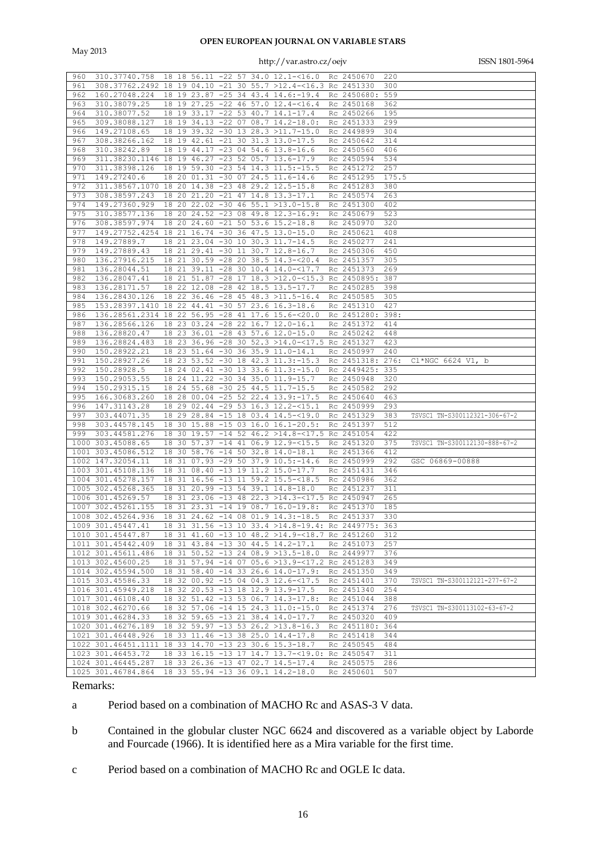May 2013

### http://var.astro.cz/oejv ISSN 1801-5964

| 960  | 310.37740.758                                                              |    |       |                 |          |    | 18 18 56.11 -22 57 34.0 12.1-<16.0 Rc 2450670       |                              | 220   |                               |
|------|----------------------------------------------------------------------------|----|-------|-----------------|----------|----|-----------------------------------------------------|------------------------------|-------|-------------------------------|
| 961  | 308.37762.2492 18 19 04.10 -21 30 55.7 >12.4-<16.3 Rc 2451330              |    |       |                 |          |    |                                                     |                              | 300   |                               |
| 962  | 160.27048.224                                                              |    |       |                 |          |    | 18 19 23.87 -25 34 43.4 14.6:-19.4                  | Rc 2450680:                  | 559   |                               |
|      |                                                                            |    |       |                 |          |    |                                                     |                              |       |                               |
| 963  | 310.38079.25                                                               |    |       |                 |          |    | 18 19 27.25 -22 46 57.0 12.4-<16.4                  | Rc 2450168                   | 362   |                               |
| 964  | 310.38077.52                                                               |    |       | 18 19 33.17 -22 |          |    | 53 40.7 14.1-17.4                                   | Rc 2450266                   | 195   |                               |
| 965  | 309.38088.127                                                              |    |       |                 |          |    | 18 19 34.13 -22 07 08.7 14.2-18.0:                  | Rc 2451333                   | 299   |                               |
| 966  | 149.27108.65                                                               |    |       |                 |          |    | 18 19 39.32 -30 13 28.3 >11.7-15.0                  | Rc 2449899                   | 304   |                               |
| 967  | 308.38266.162                                                              |    |       | 18 19 42.61     | $-21$    |    | 30 31.3 13.0-17.5                                   | Rc 2450642                   | 314   |                               |
|      |                                                                            |    |       |                 |          |    |                                                     |                              |       |                               |
| 968  | 310.38242.89                                                               |    |       |                 |          |    | 18 19 44.17 -23 04 54.6 13.8-16.6                   | Rc 2450560                   | 406   |                               |
| 969  | 311.38230.1146 18 19 46.27 -23 52 05.7 13.6-17.9                           |    |       |                 |          |    |                                                     | Rc 2450594                   | 534   |                               |
| 970  | 311.38398.126                                                              |    |       |                 |          |    | 18 19 59.30 -23 54 14.3 11.5:-15.5                  | Rc 2451272                   | 257   |                               |
| 971  | 149.27240.6                                                                |    |       |                 |          |    | 18 20 01.31 -30 07 24.5 11.6-14.6                   | Rc 2451295                   | 175.5 |                               |
| 972  |                                                                            |    |       |                 |          |    |                                                     |                              |       |                               |
|      | 311.38567.1070                                                             |    |       |                 |          |    | 18 20 14.38 -23 48 29.2 12.5-15.8                   | Rc 2451283                   | 380   |                               |
| 973  | 308.38597.243                                                              |    | 18 20 |                 |          |    | 21.20 -21 47 14.8 13.3-17.1                         | Rc 2450574                   | 263   |                               |
| 974  | 149.27360.929                                                              |    |       |                 |          |    | 18 20 22.02 -30 46 55.1 >13.0-15.8                  | Rc 2451300                   | 402   |                               |
| 975  | 310.38577.136                                                              | 18 | 20    |                 |          |    | 24.52 -23 08 49.8 12.3-16.9:                        | Rc 2450679                   | 523   |                               |
| 976  | 308.38597.974                                                              |    |       | 18 20 24.60 -21 |          |    | 50 53.6 15.2-18.8                                   | Rc 2450970                   | 320   |                               |
| 977  |                                                                            |    |       |                 |          |    |                                                     |                              |       |                               |
|      | 149.27752.4254 18 21 16.74 -30 36 47.5 13.0-15.0                           |    |       |                 |          |    |                                                     | Rc 2450621                   | 408   |                               |
| 978  | 149.27889.7                                                                |    | 18 21 |                 |          |    | 23.04 -30 10 30.3 11.7-14.5                         | Rc 2450277                   | 241   |                               |
| 979  | 149.27889.43                                                               |    |       |                 |          |    | 18 21 29.41 -30 11 30.7 12.8-16.7                   | Rc 2450306                   | 450   |                               |
| 980  | 136.27916.215                                                              |    |       |                 |          |    | 18 21 30.59 -28 20 38.5 14.3-<20.4                  | Rc 2451357                   | 305   |                               |
| 981  | 136.28044.51                                                               |    |       |                 |          |    | 18 21 39.11 -28 30 10.4 14.0-<17.7                  | Rc 2451373                   | 269   |                               |
|      |                                                                            |    |       |                 |          |    |                                                     |                              |       |                               |
| 982  | 136.28047.41                                                               |    |       |                 |          |    | 18 21 51.87 -28 17 18.3 >12.0-<15.3 Rc 2450895: 387 |                              |       |                               |
| 983  | 136.28171.57                                                               |    |       |                 |          |    | 18 22 12.08 -28 42 18.5 13.5-17.7                   | Rc 2450285                   | 398   |                               |
| 984  | 136.28430.126                                                              |    |       |                 |          |    | 18 22 36.46 -28 45 48.3 >11.5-16.4                  | Rc 2450585                   | 305   |                               |
| 985  | 153.28397.1410                                                             |    |       |                 |          |    | 18 22 44.41 -30 57 23.6 16.3-18.6                   | Rc 2451310                   | 427   |                               |
| 986  | 136.28561.2314                                                             |    |       |                 |          |    | 18 22 56.95 -28 41 17.6 15.6-<20.0                  | Rc 2451280:                  | 398:  |                               |
|      |                                                                            |    |       |                 |          |    |                                                     |                              |       |                               |
| 987  | 136.28566.126                                                              |    |       |                 |          |    | 18 23 03.24 -28 22 16.7 12.0-16.1                   | Rc 2451372                   | 414   |                               |
| 988  | 136.28820.47                                                               |    |       | 18 23 36.01     |          |    | $-28$ 43 57.6 12.0-15.0                             | Rc 2450242                   | 448   |                               |
| 989  | 136.28824.483                                                              | 18 |       |                 |          |    | 23 36.96 -28 30 52.3 >14.0-<17.5 Rc 2451327         |                              | 423   |                               |
| 990  | 150.28922.21                                                               |    |       |                 |          |    | 18 23 51.64 -30 36 35.9 11.0-14.1                   | Rc 2450997                   | 240   |                               |
| 991  | 150.28927.26                                                               |    |       |                 |          |    | 18 23 53.52 -30 18 42.3 11.3:-15.3                  | Rc 2451318:                  | 276:  | Cl*NGC 6624 V1, b             |
|      |                                                                            |    |       |                 |          |    |                                                     |                              |       |                               |
|      |                                                                            |    |       |                 |          |    |                                                     |                              |       |                               |
| 992  | 150.28928.5                                                                | 18 | 24    |                 |          |    | $02.41 - 30 13 33.6 11.3:-15.0$                     | Rc 2449425:                  | 335   |                               |
| 993  | 150.29053.55                                                               |    |       |                 |          |    | 18 24 11.22 -30 34 35.0 11.9-15.7                   | Rc 2450948                   | 320   |                               |
| 994  | 150.29315.15                                                               | 18 | 24    | $55.68 - 30$    |          |    | 25 44.5 11.7-15.5                                   | Rc 2450582                   | 292   |                               |
|      |                                                                            |    |       |                 |          |    |                                                     |                              |       |                               |
| 995  | 166.30683.260                                                              |    | 18 28 |                 |          |    | 00.04 -25 52 22.4 13.9:-17.5                        | Rc 2450640                   | 463   |                               |
| 996  | 147.31143.28                                                               | 18 |       |                 |          |    | 29 02.44 -29 53 16.3 12.2-<15.1                     | Rc 2450999                   | 293   |                               |
| 997  | 303.44071.35                                                               | 18 | 29    |                 |          |    | 28.84 -15 18 03.4 14.5-<19.0                        | Rc 2451329                   | 383   | TSVSC1 TN-S300112321-306-67-2 |
| 998  | 303.44578.145                                                              | 18 | 30    |                 |          |    | 15.88 -15 03 16.0 16.1-20.5:                        | Rc 2451397                   | 512   |                               |
| 999  | 303.44581.276                                                              | 18 | 30    |                 |          |    | 19.57 -14 52 46.2 >14.8-<17.5 Rc 2451054            |                              | 422   |                               |
|      |                                                                            |    |       |                 |          |    |                                                     |                              |       |                               |
|      | 1000 303.45088.65                                                          | 18 | 30    | $57.37 - 14$    |          | 41 | $06.9$ 12.9- $15.5$                                 | Rc 2451320                   | 375   | TSVSC1 TN-S300112130-888-67-2 |
| 1001 | 303.45086.512                                                              | 18 |       |                 |          |    | 30 58.76 -14 50 32.8 14.0-18.1                      | Rc 2451366                   | 412   |                               |
|      | 1002 147.32054.11                                                          | 18 | 31    | $07.93 - 29.50$ |          |    | $37.9$ $10.5:-14.6$                                 | Rc 2450999                   | 292   | GSC 06869-00888               |
|      | 1003 301.45108.136                                                         | 18 | 31    | 08.40           | $-13$ 19 |    | 11.2 15.0-17.7                                      | Rc 2451431                   | 346   |                               |
|      | 1004 301.45278.157                                                         | 18 |       |                 |          |    | 31 16.56 -13 11 59.2 15.5 -< 18.5                   | Rc 2450986                   | 362   |                               |
|      | 1005 302.45268.365                                                         | 18 | 31    |                 |          |    | 20.99 -13 54 39.1 14.8-18.0                         | Rc 2451237                   | 311   |                               |
|      |                                                                            |    |       |                 |          |    |                                                     |                              |       |                               |
|      | 1006 301.45269.57                                                          | 18 | 31    | $23.06 - 13$    |          | 48 | 22.3 >14.3-<17.5 Rc 2450947                         |                              | 265   |                               |
| 1007 | 302.45261.155                                                              |    | 18 31 | 23.31           |          |    | $-14$ 19 08.7 16.0-19.8:                            | Rc 2451370                   | 185   |                               |
|      | 1008 302.45264.936                                                         |    | 18 31 |                 |          |    | 24.62 -14 08 01.9 14.3: -18.5                       | Rc 2451337                   | 330   |                               |
|      | 1009 301.45447.41                                                          |    |       |                 |          |    | 18 31 31.56 -13 10 33.4 >14.8-19.4: Rc 2449775: 363 |                              |       |                               |
|      | 1010 301.45447.87                                                          |    |       |                 |          |    | 18 31 41.60 -13 10 48.2 >14.9-<18.7 Rc 2451260      |                              | 312   |                               |
|      |                                                                            |    |       |                 |          |    |                                                     |                              |       |                               |
|      | 1011 301.45442.409                                                         |    |       |                 |          |    | 18 31 43.84 -13 30 44.5 14.2-17.1                   | Rc 2451073                   | 257   |                               |
|      | 1012 301.45611.486                                                         |    |       |                 |          |    | 18 31 50.52 -13 24 08.9 >13.5-18.0 Rc 2449977 376   |                              |       |                               |
|      | 1013 302.45600.25                                                          |    |       |                 |          |    | 18 31 57.94 -14 07 05.6 >13.9-<17.2 Rc 2451283 349  |                              |       |                               |
|      | 1014 302.45594.500                                                         |    |       |                 |          |    | 18 31 58.40 -14 33 26.6 14.0-17.9: Rc 2451350 349   |                              |       |                               |
|      | 1015 303.45586.33                                                          |    |       |                 |          |    | 18 32 00.92 -15 04 04.3 12.6-<17.5 Rc 2451401       |                              | 370   | TSVSC1 TN-S300112121-277-67-2 |
|      |                                                                            |    |       |                 |          |    |                                                     |                              |       |                               |
|      | 1016 301.45949.218                                                         |    |       |                 |          |    | 18 32 20.53 -13 18 12.9 13.9-17.5                   | Rc 2451340 254               |       |                               |
|      | 1017 301.46108.40                                                          |    |       |                 |          |    | 18 32 51.42 -13 53 06.7 14.3-17.8:                  | Rc 2451044                   | 388   |                               |
|      | 1018 302.46270.66                                                          |    |       |                 |          |    | 18 32 57.06 -14 15 24.3 11.0:-15.0                  | Rc 2451374 276               |       | TSVSC1 TN-S300113102-63-67-2  |
|      | 1019 301.46284.33                                                          |    |       |                 |          |    | 18 32 59.65 -13 21 38.4 14.0-17.7                   | Rc 2450320                   | 409   |                               |
|      | 1020 301.46276.189                                                         |    |       |                 |          |    | 18 32 59.97 -13 53 26.2 >13.8-16.3                  | Rc 2451180: 364              |       |                               |
|      |                                                                            |    |       |                 |          |    |                                                     |                              |       |                               |
|      | 1021 301.46448.926                                                         |    |       |                 |          |    | 18 33 11.46 -13 38 25.0 14.4-17.8                   | Rc 2451418                   | 344   |                               |
|      | 1022 301.46451.1111 18 33 14.70 -13 23 30.6 15.3-18.7                      |    |       |                 |          |    |                                                     | Rc 2450545 484               |       |                               |
|      | 1023 301.46453.72                                                          |    |       |                 |          |    | 18 33 16.15 -13 17 14.7 13.7-<19.0: Rc 2450547      |                              | 311   |                               |
|      | 1024 301.46445.287 18 33 26.36 -13 47 02.7 14.5-17.4<br>1025 301.46784.864 |    |       |                 |          |    | 18 33 55.94 -13 36 09.1 14.2-18.0                   | Rc 2450575 286<br>Rc 2450601 | 507   |                               |

### Remarks:

a Period based on a combination of MACHO Rc and ASAS-3 V data.

- b Contained in the globular cluster NGC 6624 and discovered as a variable object by Laborde and Fourcade (1966). It is identified here as a Mira variable for the first time.
- c Period based on a combination of MACHO Rc and OGLE Ic data.